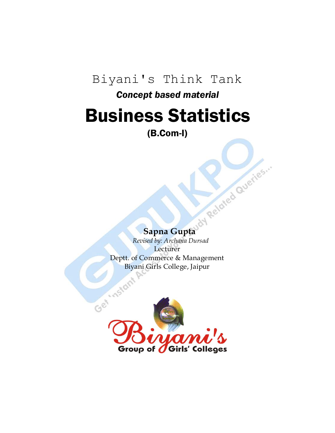# Biyani's Think Tank

# *Concept based material*

# Business Statistics

(B.Com-I)

 **Sapna Gupta**

 *Revised by: Archana Dursad* **Lecturer** Deptt. of Commerce & Management

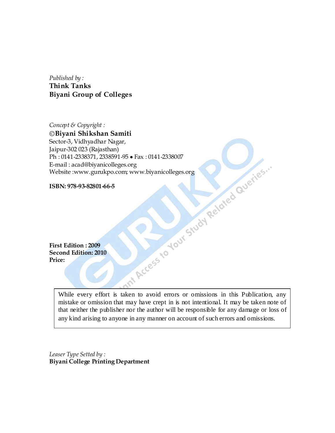*Published by :* **Think Tanks Biyani Group of Colleges**

*Concept & Copyright :* **Biyani Shikshan Samiti** Sector-3, Vidhyadhar Nagar,<br>
Jaipur 302 (Rajashhan)<br>
Ph. : 0141-2338371, 2338591-95 • Fax : 0141-2338007<br>
E-mail : acad@biyanicolleges.org<br>
Website :www.gurukpo.com, www.biyanicolleges.org<br>
ISBN: 978-93-82801-66-5<br>
ISBN: 9 Jaipur-302 023 (Rajasthan) Ph: 0141-2338371, 2338591-95 • Fax: 0141-2338007 E-mail : acad@biyanicolleges.org Website :www.gurukpo.com; www.biyanicolleges.org

**ISBN: 978-93-82801-66-5**

**First Edition : 2009 Second Edition: 2010 Price:** 

> While every effort is taken to avoid errors or omissions in this Publication, any mistake or omission that may have crept in is not intentional. It may be taken note of that neither the publisher nor the author will be responsible for any damage or loss of any kind arising to anyone in any manner on account of such errors and omissions.

*Leaser Type Setted by :* **Biyani College Printing Department**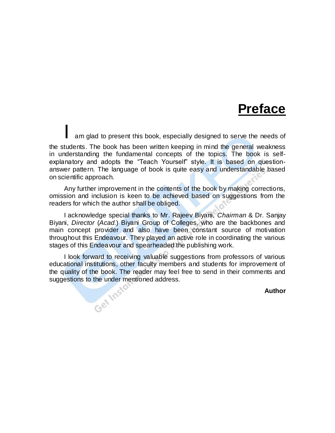# **Preface**

am glad to present this book, especially designed to serve the needs of the students. The book has been written keeping in mind the general weakness in understanding the fundamental concepts of the topics. The book is selfexplanatory and adopts the "Teach Yourself" style. It is based on questionanswer pattern. The language of book is quite easy and understandable based on scientific approach.

Any further improvement in the contents of the book by making corrections, omission and inclusion is keen to be achieved based on suggestions from the readers for which the author shall be obliged.

I acknowledge special thanks to Mr. Rajeev Biyani, *Chairman* & Dr. Sanjay Biyani, *Director* (*Acad.*) Biyani Group of Colleges, who are the backbones and main concept provider and also have been constant source of motivation throughout this Endeavour. They played an active role in coordinating the various stages of this Endeavour and spearheaded the publishing work.

I look forward to receiving valuable suggestions from professors of various educational institutions, other faculty members and students for improvement of the quality of the book. The reader may feel free to send in their comments and suggestions to the under mentioned address.

**Author**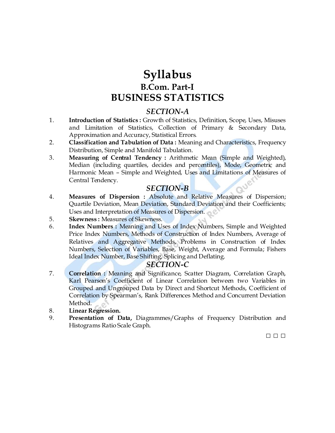# **Syllabus B.Com. Part-I BUSINESS STATISTICS**

# *SECTION-A*

- 1. **Introduction of Statistics :** Growth of Statistics, Definition, Scope, Uses, Misuses and Limitation of Statistics, Collection of Primary & Secondary Data, Approximation and Accuracy, Statistical Errors.
- 2. **Classification and Tabulation of Data :** Meaning and Characteristics, Frequency Distribution, Simple and Manifold Tabulation.
- 3. **Measuring of Central Tendency :** Arithmetic Mean (Simple and Weighted), Median (including quartiles, decides and percentiles), Mode, Geometric and Harmonic Mean – Simple and Weighted, Uses and Limitations of Measures of Central Tendency.

# *SECTION-B*

- 4. **Measures of Dispersion :** Absolute and Relative Measures of Dispersion; Quartile Deviation, Mean Deviation, Standard Deviation and their Coefficients; Uses and Interpretation of Measures of Dispersion.
- 5. **Skewness :** Measures of Skewness.
- 6. **Index Numbers :** Meaning and Uses of Index Numbers, Simple and Weighted Price Index Numbers, Methods of Construction of Index Numbers, Average of Relatives and Aggregative Methods, Problems in Construction of Index Numbers, Selection of Variables, Base, Weight, Average and Formula; Fishers Ideal Index Number, Base Shifting, Splicing and Deflating.

# *SECTION-C*

- 7. **Correlation :** Meaning and Significance, Scatter Diagram, Correlation Graph, Karl Pearson's Coefficient of Linear Correlation between two Variables in Grouped and Ungrouped Data by Direct and Shortcut Methods, Coefficient of Correlation by Spearman's, Rank Differences Method and Concurrent Deviation Method.
- 8. **Linear Regression.**
- 9. **Presentation of Data,** Diagrammes/Graphs of Frequency Distribution and Histograms Ratio Scale Graph.

□ □ □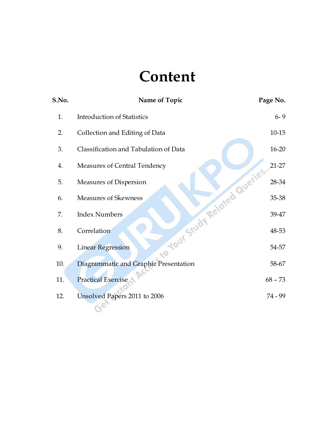# **Content**

| S.No. | Name of Topic                                             | Page No.  |
|-------|-----------------------------------------------------------|-----------|
| 1.    | <b>Introduction of Statistics</b>                         | $6 - 9$   |
| 2.    | Collection and Editing of Data                            | $10 - 15$ |
| 3.    | Classification and Tabulation of Data                     | $16 - 20$ |
| 4.    | Measures of Central Tendency                              | $21-27$   |
| 5.    | Measures of Dispersion                                    | 28-34     |
| 6.    | <b>Measures of Skewness</b>                               | 35-38     |
| 7.    | <b>Index Numbers</b>                                      | 39-47     |
| 8.    | Correlation                                               | 48-53     |
| 9.    | to your Study Related Queries<br><b>Linear Regression</b> | 54-57     |
| 10.   | Diagrammatic and Graphic Presentation                     | 58-67     |
| 11.   | <b>Practical Exercise</b>                                 | $68 - 73$ |
| 12.   | Unsolved Papers 2011 to 2006                              | 74 - 99   |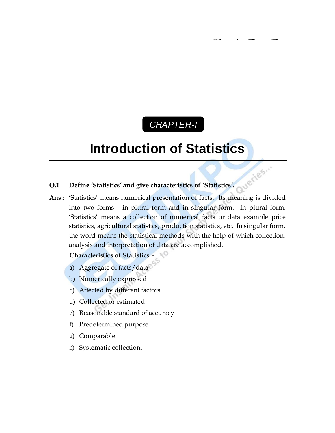# *CHAPTER-I* C

# **Introduction of Statistics**

# **Q.1 Define 'Statistics' and give characteristics of 'Statistics'.**

Queries... Ans.: 'Statistics' means numerical presentation of facts. Its meaning is divided into two forms - in plural form and in singular form. In plural form, ‗Statistics' means a collection of numerical facts or data example price statistics, agricultural statistics, production statistics, etc. In singular form, the word means the statistical methods with the help of which collection, analysis and interpretation of data are accomplished.

# **Characteristics of Statistics -**

- a) Aggregate of facts/data
- b) Numerically expressed
- c) Affected by different factors
- d) Collected or estimated
- e) Reasonable standard of accuracy
- f) Predetermined purpose
- g) Comparable
- h) Systematic collection.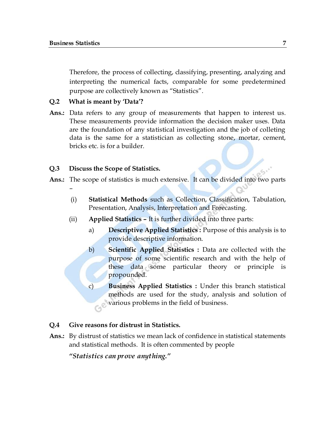–

Therefore, the process of collecting, classifying, presenting, analyzing and interpreting the numerical facts, comparable for some predetermined purpose are collectively known as "Statistics".

#### **Q.2 What is meant by 'Data'?**

Ans.: Data refers to any group of measurements that happen to interest us. These measurements provide information the decision maker uses. Data are the foundation of any statistical investigation and the job of colleting data is the same for a statistician as collecting stone, mortar, cement, bricks etc. is for a builder.

#### **Q.3 Discuss the Scope of Statistics.**

- **Ans.:** The scope of statistics is much extensive. It can be divided into two parts
	- (i) **Statistical Methods** such as Collection, Classification, Tabulation, Presentation, Analysis, Interpretation and Forecasting.
	- (ii) **Applied Statistics –** It is further divided into three parts:
		- a) **Descriptive Applied Statistics :** Purpose of this analysis is to provide descriptive information.
		- b) **Scientific Applied Statistics :** Data are collected with the purpose of some scientific research and with the help of these data some particular theory or principle is propounded.
		- c) **Business Applied Statistics :** Under this branch statistical methods are used for the study, analysis and solution of various problems in the field of business.

#### **Q.4 Give reasons for distrust in Statistics.**

**Ans.:** By distrust of statistics we mean lack of confidence in statistical statements and statistical methods. It is often commented by people

*"Statistics can prove anything."*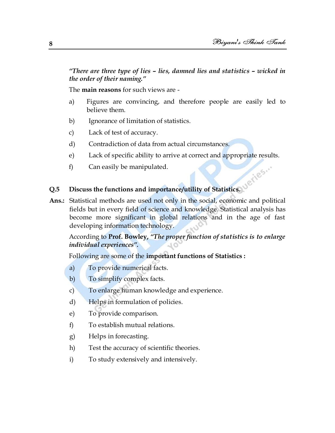*"There are three type of lies – lies, damned lies and statistics – wicked in the order of their naming."*

The **main reasons** for such views are -

- a) Figures are convincing, and therefore people are easily led to believe them.
- b) Ignorance of limitation of statistics.
- c) Lack of test of accuracy.
- d) Contradiction of data from actual circumstances.
- e) Lack of specific ability to arrive at correct and appropriate results.
- f) Can easily be manipulated.

## **Q.5 Discuss the functions and importance/utility of Statistics.**

**Ans.:** Statistical methods are used not only in the social, economic and political fields but in every field of science and knowledge. Statistical analysis has become more significant in global relations and in the age of fast developing information technology.

According to **Prof. Bowley,** *"The proper function of statistics is to enlarge individual experiences".* 

Following are some of the **important functions of Statistics :**

- a) To provide numerical facts.
- b) To simplify complex facts.
- c) To enlarge human knowledge and experience.
- d) Helps in formulation of policies.
- e) To provide comparison.
- f) To establish mutual relations.
- g) Helps in forecasting.
- h) Test the accuracy of scientific theories.
- i) To study extensively and intensively.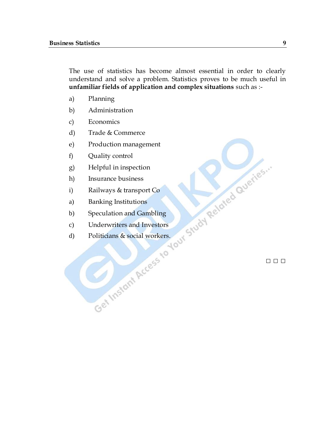The use of statistics has become almost essential in order to clearly understand and solve a problem. Statistics proves to be much useful in **unfamiliar fields of application and complex situations** such as :-

- a) Planning
- b) Administration
- c) Economics
- d) Trade & Commerce
- e) Production management
- f) Quality control
- g) Helpful in inspection
- h) Insurance business
- i) Railways & transport Co
- a) Banking Institutions
- b) Speculation and Gambling
- c) Underwriters and Investors
- d) Politicians & social workers.

□ □ □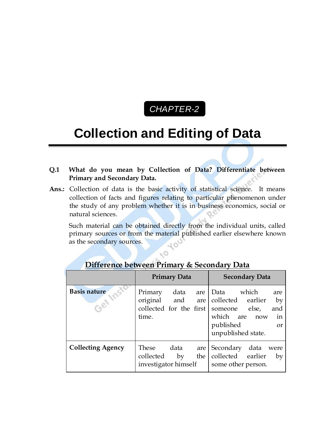

# **Collection and Editing of Data**

- **Q.1 What do you mean by Collection of Data? Differentiate between Primary and Secondary Data.**
- Ans.: Collection of data is the basic activity of statistical science. It means collection of facts and figures relating to particular phenomenon under the study of any problem whether it is in business economics, social or natural sciences.

Such material can be obtained directly from the individual units, called primary sources or from the material published earlier elsewhere known as the secondary sources.

|                                       | <b>Primary Data</b>                                         |            | <b>Secondary Data</b> |                                                                                                               |                                         |
|---------------------------------------|-------------------------------------------------------------|------------|-----------------------|---------------------------------------------------------------------------------------------------------------|-----------------------------------------|
| <b>Basis nature</b><br>$\sim$<br>COCI | Primary<br>original and<br>collected for the first<br>time. | data       | are<br>are            | which<br>Data<br>collected earlier<br>else,<br>someone<br>which are<br>now<br>published<br>unpublished state. | are<br>by<br>and<br>in<br><sub>or</sub> |
| <b>Collecting Agency</b>              | These<br>collected<br>investigator himself                  | data<br>by | are<br>the            | Secondary<br>data were<br>collected earlier<br>some other person.                                             | by                                      |

# **Difference between Primary & Secondary Data**

- O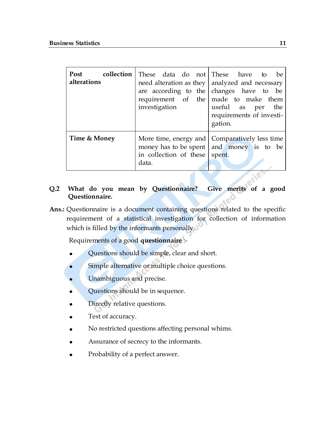| Post<br>alterations | investigation                          | <b>collection</b> These data do not These have to be<br>need alteration as they $ $ analyzed and necessary<br>are according to the changes have to be<br>requirement of the made to make them<br>useful as per the<br>requirements of investi-<br>gation. |
|---------------------|----------------------------------------|-----------------------------------------------------------------------------------------------------------------------------------------------------------------------------------------------------------------------------------------------------------|
| Time & Money        | in collection of these spent.<br>data. | More time, energy and   Comparatively less time<br>money has to be spent and money is to be                                                                                                                                                               |

# **Q.2 What do you mean by Questionnaire? Give merits of a good Questionnaire.**

**Ans.:** Questionnaire is a document containing questions related to the specific requirement of a statistical investigation for collection of information which is filled by the informants personally.

Requirements of a good **questionnaire** :-

- Questions should be simple, clear and short.
- Simple alternative or multiple choice questions.
- Unambiguous and precise.
- Questions should be in sequence.
- Directly relative questions.
- Test of accuracy.
- No restricted questions affecting personal whims.
- Assurance of secrecy to the informants.
- Probability of a perfect answer.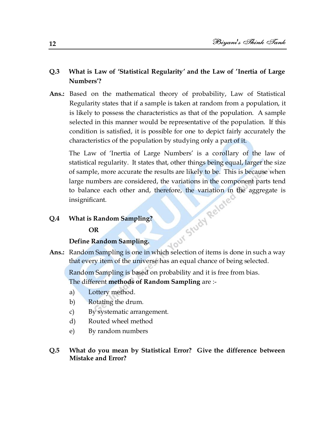# **Q.3 What is Law of 'Statistical Regularity' and the Law of 'Inertia of Large Numbers'?**

**Ans.:** Based on the mathematical theory of probability, Law of Statistical Regularity states that if a sample is taken at random from a population, it is likely to possess the characteristics as that of the population. A sample selected in this manner would be representative of the population. If this condition is satisfied, it is possible for one to depict fairly accurately the characteristics of the population by studying only a part of it.

The Law of 'Inertia of Large Numbers' is a corollary of the law of statistical regularity. It states that, other things being equal, larger the size of sample, more accurate the results are likely to be. This is because when large numbers are considered, the variations in the component parts tend<br>to balance each other and, therefore, the variation in the aggregate is<br>insignificant.<br>What is Random Sampling?<br>OR<br>Define Random Sampling?<br>Random C to balance each other and, therefore, the variation in the aggregate is insignificant.

#### **Q.4 What is Random Sampling?**

#### **OR**

#### **Define Random Sampling.**

**Ans.:** Random Sampling is one in which selection of items is done in such a way that every item of the universe has an equal chance of being selected.

Random Sampling is based on probability and it is free from bias. The different **methods of Random Sampling** are :-

- a) Lottery method.
- b) Rotating the drum.
- c) By systematic arrangement.
- d) Routed wheel method
- e) By random numbers

## **Q.5 What do you mean by Statistical Error? Give the difference between Mistake and Error?**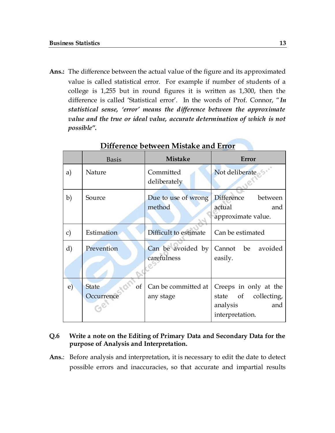**Ans.:** The difference between the actual value of the figure and its approximated value is called statistical error. For example if number of students of a college is 1,255 but in round figures it is written as 1,300, then the difference is called 'Statistical error'. In the words of Prof. Connor, "In *statistical sense, "error" means the difference between the approximate value and the true or ideal value, accurate determination of which is not possible".*

|               | <b>Basis</b>                     | <b>Mistake</b>                   | Error                                                                                  |
|---------------|----------------------------------|----------------------------------|----------------------------------------------------------------------------------------|
| a)            | Nature                           | Committed<br>deliberately        | Not deliberate                                                                         |
| $\mathbf{b}$  | Source                           | Due to use of wrong<br>method    | <b>Difference</b><br>between<br>actual<br>and<br>approximate value.                    |
| $\mathbf{c})$ | Estimation                       | Difficult to estimate            | Can be estimated                                                                       |
| d)            | Prevention                       | Can be avoided by<br>carefulness | Cannot be avoided<br>easily.                                                           |
| $\mathbf{e})$ | οf<br><b>State</b><br>Occurrence | Can be committed at<br>any stage | Creeps in only at the<br>state of<br>collecting,<br>analysis<br>and<br>interpretation. |

## **Difference between Mistake and Error**

### **Q.6 Write a note on the Editing of Primary Data and Secondary Data for the purpose of Analysis and Interpretation.**

**Ans.**: Before analysis and interpretation, it is necessary to edit the date to detect possible errors and inaccuracies, so that accurate and impartial results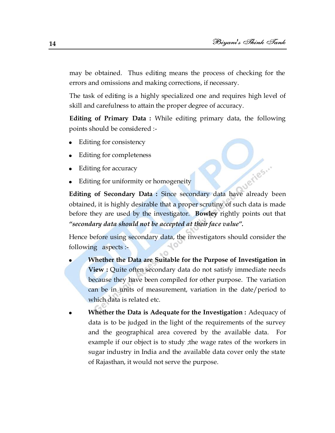may be obtained. Thus editing means the process of checking for the errors and omissions and making corrections, if necessary.

The task of editing is a highly specialized one and requires high level of skill and carefulness to attain the proper degree of accuracy.

**Editing of Primary Data :** While editing primary data, the following points should be considered :-

- Editing for consistency  $\bullet$
- Editing for completeness
- Editing for accuracy
- Editing for uniformity or homogeneity

**Editing for uniformity or homogeneity**<br>**Editing of Secondary Data :** Since secondary data have already been obtained, it is highly desirable that a proper scrutiny of such data is made before they are used by the investigator. **Bowley** rightly points out that *"secondary data should not be accepted at their face value".*

Hence before using secondary data, the investigators should consider the following aspects :-

- **Whether the Data are Suitable for the Purpose of Investigation in View :** Quite often secondary data do not satisfy immediate needs because they have been compiled for other purpose. The variation can be in units of measurement, variation in the date/period to which data is related etc.
- **Whether the Data is Adequate for the Investigation :** Adequacy of data is to be judged in the light of the requirements of the survey and the geographical area covered by the available data. For example if our object is to study ;the wage rates of the workers in sugar industry in India and the available data cover only the state of Rajasthan, it would not serve the purpose.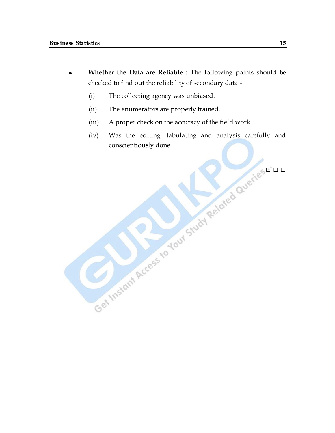- **Whether the Data are Reliable :** The following points should be checked to find out the reliability of secondary data -
	- (i) The collecting agency was unbiased.
	- (ii) The enumerators are properly trained.
	- (iii) A proper check on the accuracy of the field work.
	- (iv) Was the editing, tabulating and analysis carefully and conscientiously done.

□ □ □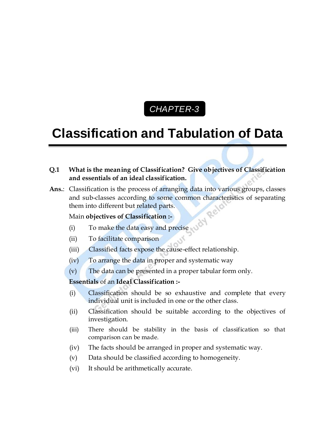# *CHAPTER-3* C

# **Classification and Tabulation of Data**

- **Q.1 What is the meaning of Classification? Give objectives of Classification and essentials of an ideal classification.**
- **Ans.**: Classification is the process of arranging data into various groups, classes and sub-classes according to some common characteristics of separating them into different but related parts.

## Main **objectives of Classification :-**

- (i) To make the data easy and precise
- (ii) To facilitate comparison
- (iii) Classified facts expose the cause-effect relationship.
- (iv) To arrange the data in proper and systematic way
- (v) The data can be presented in a proper tabular form only.

## **Essentials** of an **Ideal Classification :-**

- (i) Classification should be so exhaustive and complete that every individual unit is included in one or the other class.
- (ii) Classification should be suitable according to the objectives of investigation.
- (iii) There should be stability in the basis of classification so that comparison can be made.
- (iv) The facts should be arranged in proper and systematic way.
- (v) Data should be classified according to homogeneity.
- (vi) It should be arithmetically accurate.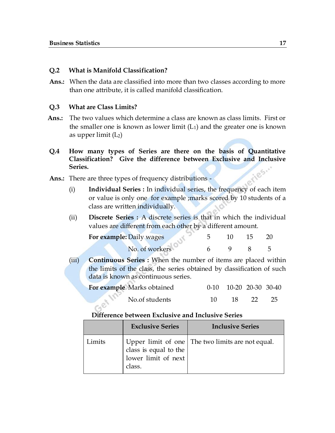#### **Q.2 What is Manifold Classification?**

**Ans.:** When the data are classified into more than two classes according to more than one attribute, it is called manifold classification.

#### **Q.3 What are Class Limits?**

- **Ans.:** The two values which determine a class are known as class limits. First or the smaller one is known as lower limit  $(L_1)$  and the greater one is known as upper limit  $(L<sub>2</sub>)$
- **Q.4 How many types of Series are there on the basis of Quantitative Classification?** Give the difference between Exclusive and Inclusive Series.<br>There are three types of frequency distributions. **Series.**
- **Ans.:** There are three types of frequency distributions
	- (i) **Individual Series :** In individual series, the frequency of each item or value is only one for example ;marks scored by 10 students of a class are written individually.
	- (ii) **Discrete Series :** A discrete series is that in which the individual values are different from each other by a different amount.

| For example: Daily wages |  |  |
|--------------------------|--|--|
| No. of workers           |  |  |

(iii) **Continuous Series :** When the number of items are placed within the limits of the class, the series obtained by classification of such data is known as continuous series.

| For example Marks obtained |     | $0-10$ $10-20$ $20-30$ $30-40$ |                 |      |
|----------------------------|-----|--------------------------------|-----------------|------|
| $\sim$ No. of students     | 10. | 18 <b>18</b>                   | $\overline{22}$ | -25. |

#### **Difference between Exclusive and Inclusive Series**

|        | <b>Exclusive Series</b>                             | <b>Inclusive Series</b>                            |
|--------|-----------------------------------------------------|----------------------------------------------------|
| Limits | class is equal to the lower limit of next<br>class. | Upper limit of one   The two limits are not equal. |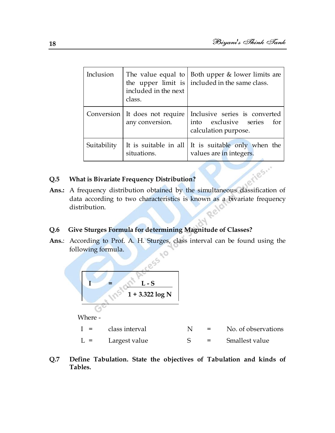| Inclusion   | included in the next<br>class. | The value equal to   Both upper $\&$ lower limits are<br>the upper $\lim$ included in the same class.               |
|-------------|--------------------------------|---------------------------------------------------------------------------------------------------------------------|
|             | any conversion.                | Conversion It does not require   Inclusive series is converted<br>into exclusive series for<br>calculation purpose. |
| Suitability | situations.                    | It is suitable in all $\vert$ It is suitable only when the<br>values are in integers.                               |

# **Q.5 What is Bivariate Frequency Distribution?**

**Q.5** What is Bivariate Frequency Distribution?<br>Ans.: A frequency distribution obtained by the simultaneous classification of data according to two characteristics is known as a bivariate frequency distribution.

## **Q.6 Give Sturges Formula for determining Magnitude of Classes?**

**Ans.**: According to Prof. A. H. Sturges, class interval can be found using the following formula.



Where -

| class interval | No. of observations |
|----------------|---------------------|
|                |                     |

- $L =$  Largest value  $S =$  Smallest value
- **Q.7 Define Tabulation. State the objectives of Tabulation and kinds of Tables.**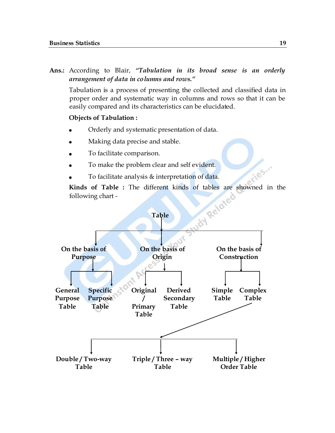**Ans.:** According to Blair, *"Tabulation in its broad sense is an orderly arrangement of data in columns and rows."*

Tabulation is a process of presenting the collected and classified data in proper order and systematic way in columns and rows so that it can be easily compared and its characteristics can be elucidated.

#### **Objects of Tabulation :**

- Orderly and systematic presentation of data.
- Making data precise and stable.
- To facilitate comparison.
- To make the problem clear and self evident.
- To facilitate analysis & interpretation of data.

following chart -



iles.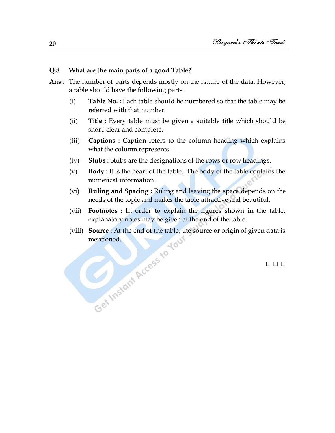#### **Q.8 What are the main parts of a good Table?**

- **Ans.**: The number of parts depends mostly on the nature of the data. However, a table should have the following parts.
	- (i) **Table No. :** Each table should be numbered so that the table may be referred with that number.
	- (ii) **Title :** Every table must be given a suitable title which should be short, clear and complete.
	- (iii) **Captions :** Caption refers to the column heading which explains what the column represents.
	- (iv) **Stubs :** Stubs are the designations of the rows or row headings.
	- (v) **Body :** It is the heart of the table. The body of the table contains the numerical information.
	- (vi) **Ruling and Spacing :** Ruling and leaving the space depends on the needs of the topic and makes the table attractive and beautiful.
	- (vii) **Footnotes :** In order to explain the figures shown in the table, explanatory notes may be given at the end of the table.
	- (viii) **Source :** At the end of the table, the source or origin of given data is Get Instant Access to Your

□ □ □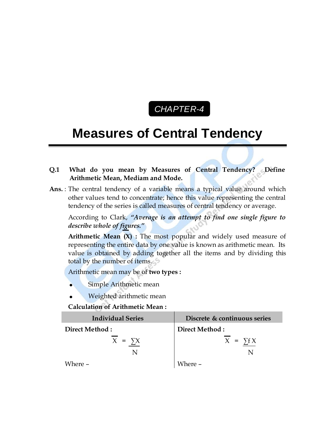# *CHAPTER-4* C

# **Measures of Central Tendency**

- **Q.1 What do you mean by Measures of Central Tendency? Define Arithmetic Mean, Mediam and Mode.**
- **Ans.** : The central tendency of a variable means a typical value around which other values tend to concentrate; hence this value representing the central tendency of the series is called measures of central tendency or average.

According to Clark, *"Average is an attempt to find one single figure to describe whole of figures."*

**Arithmetic Mean (X) :** The most popular and widely used measure of representing the entire data by one value is known as arithmetic mean. Its value is obtained by adding together all the items and by dividing this total by the number of items.

Arithmetic mean may be of **two types :**

- Simple Arithmetic mean
- Weighted arithmetic mean

**Calculation of Arithmetic Mean :**

| <b>Individual Series</b> | Discrete & continuous series |
|--------------------------|------------------------------|
| Direct Method:           | Direct Method:               |
| $X = \sum X$             | $X = \sum f X$               |
|                          |                              |
| Where $-$                | Where -                      |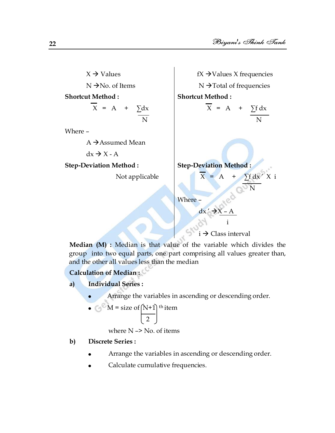$X \rightarrow V$ alues  $N \rightarrow$ No. of Items  $fX \rightarrow$ Values X frequencies  $N \rightarrow$  Total of frequencies **Shortcut Method :**  $X = A + \sum dx$  N Where –  $A \rightarrow$  Assumed Mean  $dx \rightarrow X - A$ **Shortcut Method :**  $\overline{X}$  = A +  $\sum f dx$  N **Step-Deviation Method :** Not applicable **Step-Deviation Method :**  $X = A + \sum f dx' X$  i  $\sim$   $\alpha$ <sup>o</sup>N Where –  $dx' \rightarrow X - A$  $i \rightarrow 6$  $i \rightarrow$  Class interval

**Median (M) :** Median is that value of the variable which divides the group into two equal parts, one part comprising all values greater than, and the other all values less than the median

# **Calculation of Median :**

- **a) Individual Series :**
	- Arrange the variables in ascending or descending order.
	- $\bullet \ \ \bigodot^{\ \otimes \ } M =$  size of  $(N+1)$  <sup>th</sup> item 2

where  $N \rightarrow No$ . of items

# **b) Discrete Series :**

- Arrange the variables in ascending or descending order.
- Calculate cumulative frequencies.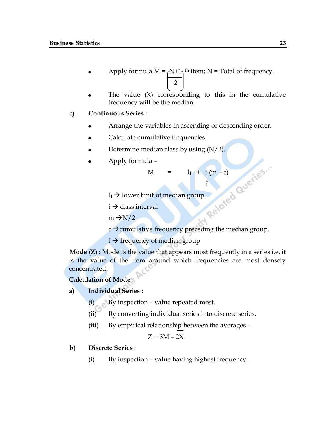- Apply formula  $M = A + 1$ <sup>th</sup> item; N = Total of frequency. 2
- The value  $(X)$  corresponding to this in the cumulative frequency will be the median.

#### **c) Continuous Series :**

- Arrange the variables in ascending or descending order.
- Calculate cumulative frequencies.
- 
- Apply formula –

 $M = 1_1 + i (m - c)$ 

f<sub>ind</sub> the state of the state of the state of the state of the state of the state of the state of the state of the state of the state of the state of the state of the state of the state of the state of the state of the sta

 $l_1 \rightarrow$  lower limit of median group

 $i \rightarrow$  class interval

 $m \rightarrow N/2$ 

Determine median class by using (N/2).<br>
Apply formula -<br>  $M = \frac{1_1 + \frac{i}{\sqrt{m - c}}}{f}$ <br>  $\frac{1_1}{\sqrt{m - c}}$ <br>  $\frac{1_2}{\sqrt{m - c}}$ <br>  $\frac{1_3}{\sqrt{m - c}}$ <br>  $\frac{1_4}{\sqrt{m - c}}$ <br>  $\frac{1_5}{\sqrt{m - c}}$ <br>  $\frac{1_6}{\sqrt{m - c}}$  $c \rightarrow$  cumulative frequency preceding the median group.

 $f \rightarrow f$  frequency of median group

**Mode (Z):** Mode is the value that appears most frequently in a series i.e. it is the value of the item around which frequencies are most densely concentrated.

**Calculation of Mode :**

#### **a) Individual Series :**

- (i) By inspection value repeated most.
- (ii) By converting individual series into discrete series.
- (iii) By empirical relationship between the averages -

 $Z = 3M - 2X$ 

#### **b) Discrete Series :**

(i) By inspection – value having highest frequency.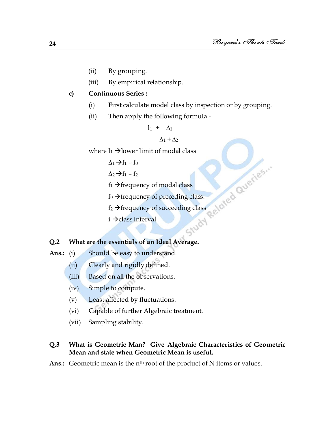- (ii) By grouping.
- (iii) By empirical relationship.

## **c) Continuous Series :**

- (i) First calculate model class by inspection or by grouping.
- (ii) Then apply the following formula -

$$
\frac{l_1 + \Delta_1}{\Delta_1 + \Delta_2}
$$

- $\Delta_1 \rightarrow f_1 f_0$
- $\Delta$ <sub>2</sub>  $\rightarrow$  f<sub>1</sub> f<sub>2</sub>
- $f_1 \rightarrow$  frequency of modal class
- $f_0 \rightarrow$  frequency of preceding class.
- where  $1_1 \rightarrow$  Iower limit of modal class<br>  $\Delta_1 \rightarrow f_1 f_0$ <br>  $\Delta_2 \rightarrow f_1 f_2$ <br>  $f_1 \rightarrow$  Frequency of modal class<br>  $f_0 \rightarrow$  Frequency of preceding class.<br>  $f_2 \rightarrow$  Frequency of succeed<sup>3</sup><br>  $\therefore$ <br>  $\therefore$ <br> **are**  $\therefore$  $f_2 \rightarrow$  frequency of succeeding class
	- $i \rightarrow$ class interval

### **Q.2 What are the essentials of an Ideal Average.**

- Ans.: (i) Should be easy to understand.
	- (ii) Clearly and rigidly defined.
	- (iii) Based on all the observations.
	- (iv) Simple to compute.
	- (v) Least affected by fluctuations.
	- (vi) Capable of further Algebraic treatment.
	- (vii) Sampling stability.

## **Q.3 What is Geometric Man? Give Algebraic Characteristics of Geometric Mean and state when Geometric Mean is useful.**

Ans.: Geometric mean is the n<sup>th</sup> root of the product of N items or values.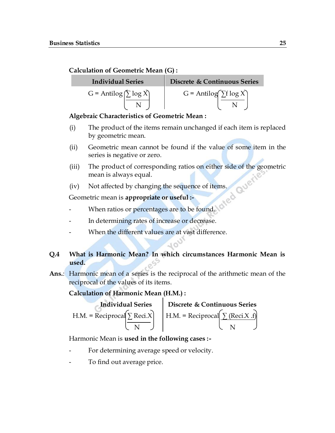## **Calculation of Geometric Mean (G) :**

| <b>Individual Series</b>         | Discrete & Continuous Series  |
|----------------------------------|-------------------------------|
| $G =$ Antilog $(\sum \log \chi)$ | $G =$ Antilog $\sum f \log X$ |
|                                  |                               |

## **Algebraic Characteristics of Geometric Mean :**

- (i) The product of the items remain unchanged if each item is replaced by geometric mean.
- (ii) Geometric mean cannot be found if the value of some item in the series is negative or zero.
- (iii) The product of corresponding ratios on either side of the geometric mean is always equal.
- (iv) Not affected by changing the sequence of items.

Geometric mean is **appropriate or useful :-**

- When ratios or percentages are to be found.
- In determining rates of increase or decrease.
- When the different values are at vast difference.

# **Q.4 What is Harmonic Mean? In which circumstances Harmonic Mean is used.**

**Ans.**: Harmonic mean of a series is the reciprocal of the arithmetic mean of the reciprocal of the values of its items.

**Calculation of Harmonic Mean (H.M.) :**

**Individual Series**  
\nH.M. = Reciprocal 
$$
\left[\sum \text{Reci} \times \frac{\text{Discrete & Continuous Series}}{\text{N}}\right]
$$
  
\nH.M. = Reciprocal  $\left[\sum \frac{\text{Reci} \times .\text{f}}{\text{N}}\right]$ 

Harmonic Mean is **used in the following cases :-**

- For determining average speed or velocity.
- To find out average price.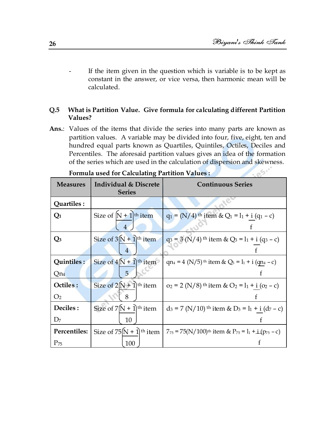. es.

If the item given in the question which is variable is to be kept as constant in the answer, or vice versa, then harmonic mean will be calculated.

## **Q.5 What is Partition Value. Give formula for calculating different Partition Values?**

Ans.: Values of the items that divide the series into many parts are known as partition values. A variable may be divided into four, five, eight, ten and hundred equal parts known as Quartiles, Quintiles, Octiles, Deciles and Percentiles. The aforesaid partition values gives an idea of the formation of the series which are used in the calculation of dispersion and skewness.

| <b>Measures</b> | <b>Individual &amp; Discrete</b><br><b>Series</b> | <b>Continuous Series</b>                                                                                 |
|-----------------|---------------------------------------------------|----------------------------------------------------------------------------------------------------------|
| Quartiles :     |                                                   |                                                                                                          |
| $\mathrm{Q}_1$  | Size of $[N + 1]$ <sup>th</sup> item<br>4         | $q_1 = (N/4)$ <sup>th</sup> item & Q <sub>1</sub> = l <sub>1</sub> + i (q <sub>1</sub> - c)              |
| $\mathbf{Q}_3$  | Size of $3(N + 1)$ <sup>th</sup> item<br>4        | $q_3 = 3 (N/4)$ <sup>th</sup> item & Q <sub>3</sub> = 1 <sub>1</sub> + i (q <sub>3</sub> – c)            |
| Quintiles:      | Size of $4(N + 1)$ <sup>th</sup> item             | qn <sub>4</sub> = 4 (N/5) <sup>th</sup> item & Q <sub>3</sub> = $l_1$ + i (qn <sub>4</sub> – c)          |
| Qn <sub>4</sub> | 5                                                 | f                                                                                                        |
| Octiles:        | Size of $2(N+1)$ <sup>th</sup> item               | $o_2 = 2$ (N/8) <sup>th</sup> item & O <sub>2</sub> = l <sub>1</sub> + i (o <sub>2</sub> – c)            |
| O <sub>2</sub>  | 8                                                 |                                                                                                          |
| Deciles :       | Size of $7(N + 1)$ <sup>th</sup> item             | $d_3 = 7$ (N/10) <sup>th</sup> item & D <sub>3</sub> = l <sub>1</sub> + i (d <sub>7</sub> - c)           |
| D <sub>7</sub>  | 10                                                |                                                                                                          |
| Percentiles:    | Size of $75(N + 1)$ <sup>th</sup> item            | $7_{75} = 75(N/100)$ <sup>th</sup> item & P <sub>75</sub> = 1 <sub>1</sub> + $\pm$ (p <sub>75</sub> – c) |
| $P_{75}$        | 100                                               |                                                                                                          |

**Formula used for Calculating Partition Values :**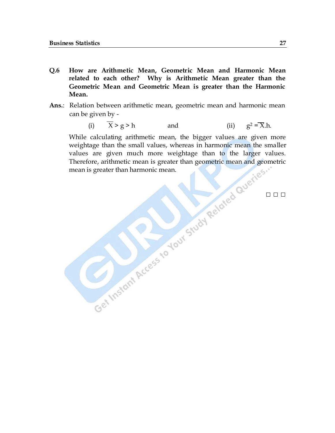- **Q.6 How are Arithmetic Mean, Geometric Mean and Harmonic Mean related to each other? Why is Arithmetic Mean greater than the Geometric Mean and Geometric Mean is greater than the Harmonic Mean.**
- **Ans.**: Relation between arithmetic mean, geometric mean and harmonic mean can be given by -

(i) 
$$
\overline{X} > g > h
$$
 and (ii)  $g^2 = \overline{X}h$ .

While calculating arithmetic mean, the bigger values are given more weightage than the small values, whereas in harmonic mean the smaller values are given much more weightage than to the larger values. Therefore, arithmetic mean is greater than geometric mean and geometric mean is greater than harmonic mean.

**□ □ □**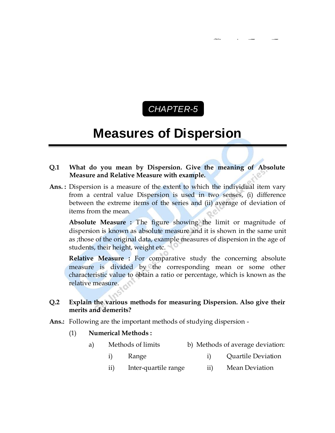# *CHAPTER-5* C

# **Measures of Dispersion**

### **Q.1 What do you mean by Dispersion. Give the meaning of Absolute Measure and Relative Measure with example.**

**Ans. :** Dispersion is a measure of the extent to which the individual item vary from a central value Dispersion is used in two senses, (i) difference between the extreme items of the series and (ii) average of deviation of items from the mean.

**Absolute Measure :** The figure showing the limit or magnitude of dispersion is known as absolute measure and it is shown in the same unit as ;those of the original data, example measures of dispersion in the age of students, their height, weight etc.

**Relative Measure :** For comparative study the concerning absolute measure is divided by the corresponding mean or some other characteristic value to obtain a ratio or percentage, which is known as the relative measure.

## **Q.2 Explain the various methods for measuring Dispersion. Also give their merits and demerits?**

**Ans.:** Following are the important methods of studying dispersion -

#### (1) **Numerical Methods :**

- a) Methods of limits b) Methods of average deviation:
	- i) Range i) Quartile Deviation
	- ii) Inter-quartile range ii) Mean Deviation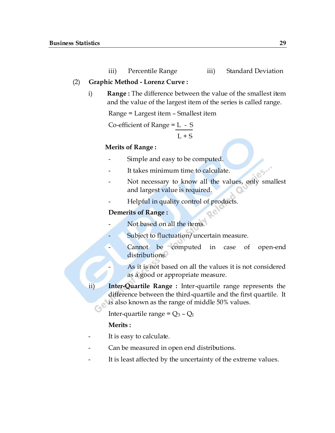iii) Percentile Range iii) Standard Deviation

### (2) **Graphic Method - Lorenz Curve :**

i) **Range :** The difference between the value of the smallest item and the value of the largest item of the series is called range.

Range = Largest item – Smallest item

Co-efficient of Range  $= L - S$ 

 $L + S$ 

### **Merits of Range :**

- Simple and easy to be computed.
- It takes minimum time to calculate.
- Not necessary to know all the values, only smallest and largest value is required.
- Helpful in quality control of products.

## **Demerits of Range :**

- Not based on all the items.
- Subject to fluctuation/uncertain measure.
- Cannot be computed in case of open-end distributions.
	- As it is not based on all the values it is not considered as a good or appropriate measure.
- ii) **Inter-Quartile Range :** Inter-quartile range represents the difference between the third-quartile and the first quartile. It is also known as the range of middle 50% values.

Inter-quartile range =  $Q_3$  –  $Q_1$ 

## **Merits :**

- It is easy to calculate.
- Can be measured in open end distributions.
- It is least affected by the uncertainty of the extreme values.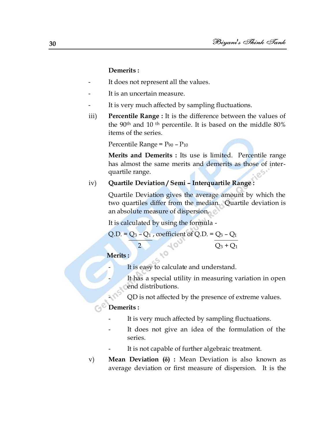#### **Demerits :**

- It does not represent all the values.
- It is an uncertain measure.
- It is very much affected by sampling fluctuations.
- iii) **Percentile Range :** It is the difference between the values of the 90th and 10 th percentile. It is based on the middle 80% items of the series.

Percentile Range =  $P_{90}$  –  $P_{10}$ 

**Merits and Demerits :** Its use is limited. Percentile range has almost the same merits and demerits as those of interquartile range.

#### iv) **Quartile Deviation / Semi – Interquartile Range :**

Quartile Deviation gives the average amount by which the two quartiles differ from the median. Quartile deviation is an absolute measure of dispersion.

It is calculated by using the formula -

Q.D. = 
$$
Q_3 - Q_1
$$
, coefficient of Q.D. =  $Q_3 - Q_1$   
2

 **Merits :**

It is easy to calculate and understand.

It has a special utility in measuring variation in open end distributions.

- QD is not affected by the presence of extreme values.

### **Demerits :**

- It is very much affected by sampling fluctuations.
- It does not give an idea of the formulation of the series.
- It is not capable of further algebraic treatment.
- v) **Mean Deviation (** $\delta$ **) :** Mean Deviation is also known as average deviation or first measure of dispersion. It is the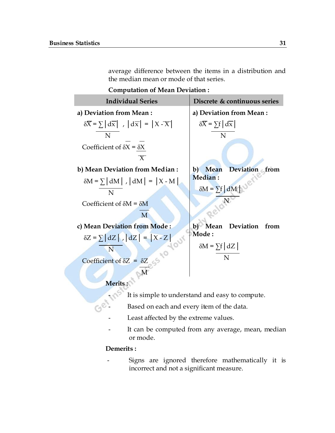average difference between the items in a distribution and the median mean or mode of that series.

**Computation of Mean Deviation :**

| <b>Individual Series</b>                                                              | Discrete & continuous series                      |
|---------------------------------------------------------------------------------------|---------------------------------------------------|
| a) Deviation from Mean:                                                               | a) Deviation from Mean:                           |
| $\delta \overline{X} = \sum  d\overline{x} $ , $ d\overline{x}  =  X - \overline{X} $ | $\delta \overline{X} = \sum f   d \overline{x}  $ |
| N                                                                                     | N                                                 |
| Coefficient of $\delta X = \delta X$                                                  |                                                   |
| $\overline{X}$                                                                        |                                                   |
| b) Mean Deviation from Median :                                                       | Deviation from<br>Mean<br>$\mathbf{b}$            |
| $\delta M = \sum  dM $ , $ dM  =  X - M $                                             | <b>Median:</b>                                    |
| N                                                                                     | $\delta M = \sum f \mid dM \mid$                  |
| Coefficient of $\delta M = \delta M$                                                  |                                                   |
| M                                                                                     |                                                   |
| c) Mean Deviation from Mode:                                                          | Deviation<br>Mean<br>from<br>b)                   |
| $\delta Z = \sum \left[ dZ \right]$ , $\left[ dZ \right] = \left[ X - Z \right]$      | <b>Mode :</b>                                     |
| N                                                                                     | $\delta M = \sum f   dZ  $                        |
| Coefficient of $\delta Z = \delta Z$                                                  | N                                                 |
|                                                                                       |                                                   |
| <b>Merits</b>                                                                         |                                                   |

- It is simple to understand and easy to compute.
- $\mathbb{G}^{\otimes}$  Based on each and every item of the data.
	- Least affected by the extreme values.
	- It can be computed from any average, mean, median or mode.

## **Demerits :**

Signs are ignored therefore mathematically it is incorrect and not a significant measure.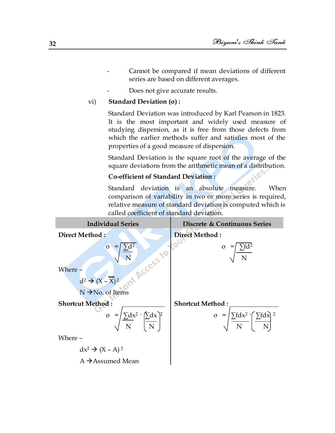- Cannot be compared if mean deviations of different series are based on different averages.
- Does not give accurate results.

### vi) **Standard Deviation (σ) :**

Standard Deviation was introduced by Karl Pearson in 1823. It is the most important and widely used measure of studying dispersion, as it is free from those defects from which the earlier methods suffer and satisfies most of the properties of a good measure of dispersion.

Standard Deviation is the square root of the average of the square deviations from the arithmetic mean of a distribution.

### **Co-efficient of Standard Deviation :**

Standard deviation is an absolute measure. When comparison of variability in two or more series is required, relative measure of standard deviation is computed which is called coefficient of standard deviation.

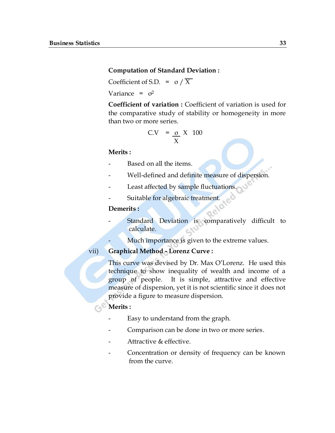#### **Computation of Standard Deviation :**

Coefficient of S.D. =  $\sigma / \overline{X}$ 

Variance =  $\sigma^2$ 

**Coefficient of variation :** Coefficient of variation is used for the comparative study of stability or homogeneity in more than two or more series.

$$
C.V = \frac{\sigma}{X} X 100
$$

#### **Merits :**

- Based on all the items
- Well-defined and definite measure of dispersion.
- Least affected by sample fluctuations.
- Suitable for algebraic treatment.

#### **Demerits :**

- Standard Deviation is comparatively difficult to calculate.
	- Much importance is given to the extreme values.

#### vii) **Graphical Method - Lorenz Curve :**

This curve was devised by Dr. Max O'Lorenz. He used this technique to show inequality of wealth and income of a group of people. It is simple, attractive and effective measure of dispersion, yet it is not scientific since it does not provide a figure to measure dispersion.

## **Merits :**

- Easy to understand from the graph.
- Comparison can be done in two or more series.
- Attractive & effective.
- Concentration or density of frequency can be known from the curve.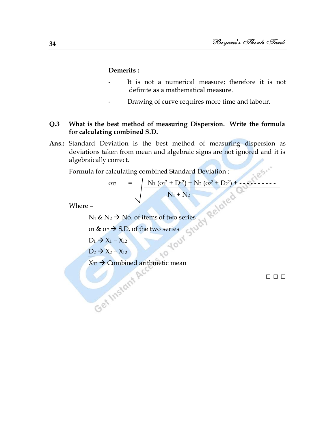#### **Demerits :**

- It is not a numerical measure; therefore it is not definite as a mathematical measure.
- Drawing of curve requires more time and labour.

## **Q.3 What is the best method of measuring Dispersion. Write the formula for calculating combined S.D.**

**Ans.:** Standard Deviation is the best method of measuring dispersion as deviations taken from mean and algebraic signs are not ignored and it is algebraically correct.

Formula for calculating combined Standard Deviation :

$$
\sigma_{12} = \sqrt{\frac{N_1 ( \sigma_1^2 + D_1^2) + N_2 ( \sigma_2^2 + D_2^2) + \dots + N_1 + N_2}{N_1 + N_2}}
$$

Where –

 $N_1$  &  $N_2 \rightarrow$  No. of items of two series

σ<sub>1</sub> & σ<sub>2</sub>  $\rightarrow$  S.D. of the two series

 $D_1 \rightarrow X_1 - X_{12}$ 

 $D_2 \rightarrow X_2 - X_{12}$ 

 $X_{12}$   $\rightarrow$  Combined arithmetic mean

□ □ □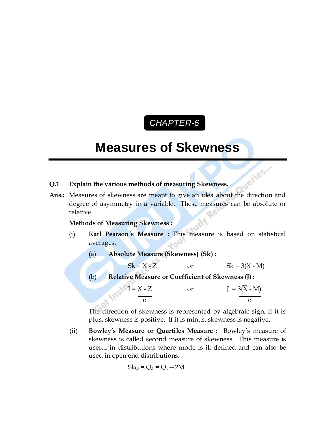# *CHAPTER-6* C

# **Measures of Skewness**

## **Q.1 Explain the various methods of measuring Skewness.**

aueries... **Ans.:** Measures of skewness are meant to give an idea about the direction and degree of asymmetry in a variable. These measures can be absolute or relative.

#### **Methods of Measuring Skewness :**

- (i) **Karl Pearson's Measure :** This measure is based on statistical averages.
	- (a) **Absolute Measure (Skewness) (Sk) :**

 $Sk = \overline{X} - \overline{Z}$  or  $Sk = 3(\overline{X} - M)$ 

(b) **Relative Measure or Coefficient of Skewness (J) :**

$$
J = \frac{\overline{X} - Z}{\sigma} \qquad \text{or} \qquad J = 3(\overline{X} - M)
$$

The direction of skewness is represented by algebraic sign, if it is plus, skewness is positive. If it is minus, skewness is negative.

(ii) **Bowley's Measure or Quartiles Measure :** Bowley's measure of skewness is called second measure of skewness. This measure is useful in distributions where mode is ill-defined and can also be used in open end distributions.

$$
Sk_Q = Q_3 = Q_1 - 2M
$$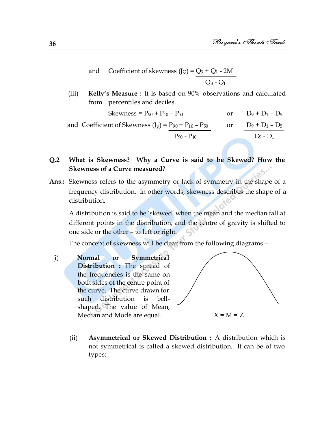and Coefficient of skewness  $(J_Q) = Q_3 + Q_1 - 2M$  $O_3 - O_1$ 

(iii) **Kelly's Measure :** It is based on 90% observations and calculated from percentiles and deciles.

Skewness =  $P_{90}$  +  $P_{10}$  –  $P_{50}$  or  $D_9$  +  $D_1$  –  $D_5$ and Coefficient of Skewness  $(J_P) = P_{90} + P_{10} - P_{50}$  or  $D_9 + D_1 - D_5$  $P_{90} - P_{10}$  D<sub>9</sub> - D<sub>1</sub>

# **Q.2 What is Skewness? Why a Curve is said to be Skewed? How the Skewness of a Curve measured?**

**Ans.:** Skewness refers to the asymmetry or lack of symmetry in the shape of a frequency distribution. In other words, skewness describes the shape of a distribution.

A distribution is said to be 'skewed' when the mean and the median fall at different points in the distribution, and the centre of gravity is shifted to one side or the other – to left or right.

The concept of skewness will be clear from the following diagrams –

(i) **Normal or Symmetrical Distribution :** The spread of the frequencies is the same on both sides of the centre point of the curve. The curve drawn for such distribution is bellshaped. The value of Mean, Median and Mode are equal.  $\overline{X} = M = Z$ 



(ii) **Asymmetrical or Skewed Distribution :** A distribution which is not symmetrical is called a skewed distribution. It can be of two types: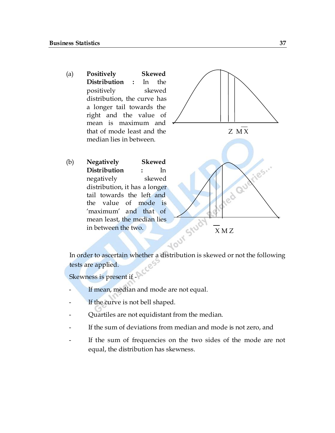(a) **Positively Skewed Distribution :** In the positively skewed distribution, the curve has a longer tail towards the right and the value of mean is maximum and that of mode least and the median lies in between.

(b) **Negatively Skewed** 

in between the two.

**Distribution :** In negatively skewed

tail towards the left and the value of mode is 'maximum' and that of mean least, the median lies



In order to ascertain whether a distribution is skewed or not the following tests are applied.

Skewness is present if -

- If mean, median and mode are not equal.
- If the curve is not bell shaped.
- Quartiles are not equidistant from the median.
- If the sum of deviations from median and mode is not zero, and
- If the sum of frequencies on the two sides of the mode are not equal, the distribution has skewness.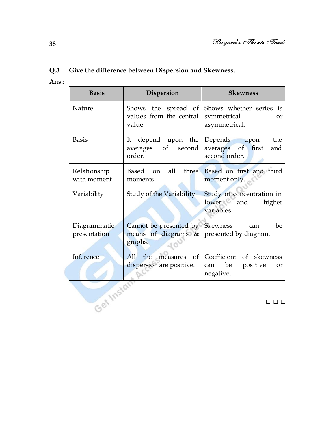# **Q.3 Give the difference between Dispersion and Skewness.**

**Ans.:**

| <b>Basis</b>                 | <b>Dispersion</b>                                                                              | <b>Skewness</b>                                                                         |
|------------------------------|------------------------------------------------------------------------------------------------|-----------------------------------------------------------------------------------------|
| Nature                       | values from the central<br>value                                                               | Shows the spread of Shows whether series is<br>symmetrical<br>$\alpha$<br>asymmetrical. |
| <b>Basis</b>                 | depend upon the Depends upon<br>It<br>averages of second<br>order.                             | the<br>averages of first<br>and<br>second order.                                        |
| Relationship<br>with moment  | Based on all<br>moments                                                                        | three Based on first and third<br>moment only.                                          |
| Variability                  | Study of the Variability                                                                       | Study of concentration in<br>lower and<br>higher<br>variables.                          |
| Diagrammatic<br>presentation | Cannot be presented by Skewness can<br>means of diagrams $\&$ presented by diagram.<br>graphs. | be                                                                                      |
| Inference                    | All<br>dispersion are positive.                                                                | the measures of Coefficient of skewness<br>can be<br>positive<br><b>or</b><br>negative. |

□ □ □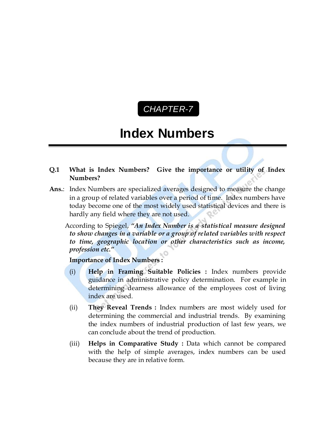## *CHAPTER-7* C

# **Index Numbers**

- **Q.1 What is Index Numbers? Give the importance or utility of Index Numbers?**
- **Ans.**: Index Numbers are specialized averages designed to measure the change in a group of related variables over a period of time. Index numbers have today become one of the most widely used statistical devices and there is hardly any field where they are not used.
	- According to Spiegel, *"An Index Number is a statistical measure designed to show changes in a variable or a group of related variables with respect to time, geographic location or other characteristics such as income, profession etc."*

#### **Importance of Index Numbers :**

- (i) **Help in Framing Suitable Policies :** Index numbers provide guidance in administrative policy determination. For example in determining dearness allowance of the employees cost of living index are used.
- (ii) **They Reveal Trends :** Index numbers are most widely used for determining the commercial and industrial trends. By examining the index numbers of industrial production of last few years, we can conclude about the trend of production.
- (iii) **Helps in Comparative Study :** Data which cannot be compared with the help of simple averages, index numbers can be used because they are in relative form.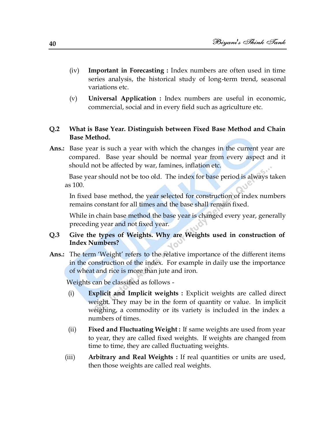- (iv) **Important in Forecasting :** Index numbers are often used in time series analysis, the historical study of long-term trend, seasonal variations etc.
- (v) **Universal Application :** Index numbers are useful in economic, commercial, social and in every field such as agriculture etc.

#### **Q.2 What is Base Year. Distinguish between Fixed Base Method and Chain Base Method.**

**Ans.:** Base year is such a year with which the changes in the current year are compared. Base year should be normal year from every aspect and it should not be affected by war, famines, inflation etc.

Base year should not be too old. The index for base period is always taken as 100.

In fixed base method, the year selected for construction of index numbers remains constant for all times and the base shall remain fixed.

While in chain base method the base year is changed every year, generally preceding year and not fixed year.

#### **Q.3 Give the types of Weights. Why are Weights used in construction of Index Numbers?**

Ans.: The term 'Weight' refers to the relative importance of the different items in the construction of the index. For example in daily use the importance of wheat and rice is more than jute and iron.

Weights can be classified as follows -

- (i) **Explicit and Implicit weights :** Explicit weights are called direct weight. They may be in the form of quantity or value. In implicit weighing, a commodity or its variety is included in the index a numbers of times.
- (ii) **Fixed and Fluctuating Weight :** If same weights are used from year to year, they are called fixed weights. If weights are changed from time to time, they are called fluctuating weights.
- (iii) **Arbitrary and Real Weights :** If real quantities or units are used, then those weights are called real weights.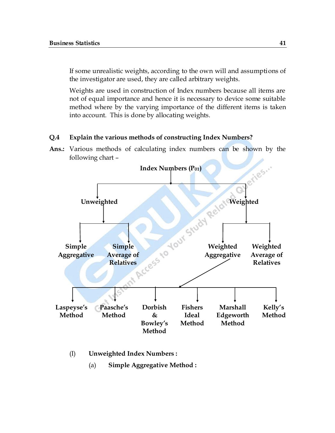If some unrealistic weights, according to the own will and assumptions of the investigator are used, they are called arbitrary weights.

Weights are used in construction of Index numbers because all items are not of equal importance and hence it is necessary to device some suitable method where by the varying importance of the different items is taken into account. This is done by allocating weights.

#### **Q.4 Explain the various methods of constructing Index Numbers?**

**Ans.:** Various methods of calculating index numbers can be shown by the following chart –



- (I) **Unweighted Index Numbers :** 
	- (a) **Simple Aggregative Method :**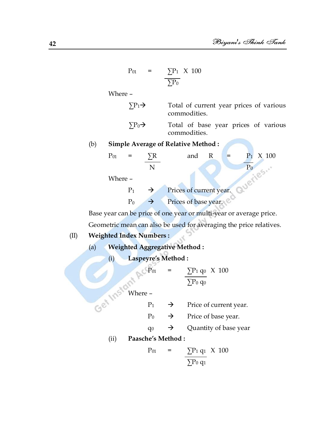$$
P_{01} = \frac{\sum P_1}{\sum P_0} \times 100
$$

Where –

 $\Sigma P_1 \rightarrow$  Total of current year prices of various commodities.

 $\Sigma P_0 \rightarrow$  Total of base year prices of various commodities.

(b) **Simple Average of Relative Method :**

| $P_{01}$ |           |               | and                     | R |  | $P_1 \times 100$ |
|----------|-----------|---------------|-------------------------|---|--|------------------|
|          |           |               |                         |   |  |                  |
| Where -  |           |               |                         |   |  |                  |
|          | $P_1$     | $\rightarrow$ | Prices of current year. |   |  |                  |
|          | $\rm P_0$ |               | Prices of base year.    |   |  |                  |

Base year can be price of one year or multi-year or average price.

Geometric mean can also be used for averaging the price relatives.

## (II) **Weighted Index Numbers :**

- (a) **Weighted Aggregative Method :**
	- (i) **Laspeyre's Method :**

$$
P_{01} = \frac{\sum P_1 q_0}{\sum P_0 q_0} \times 100
$$

Get Instant Pro

- $P_1 \rightarrow$  Price of current year.
- $P_0 \rightarrow$  Price of base year.
- $q_0 \rightarrow Q$ uantity of base year
- (ii) **Paasche's Method :**

$$
P_{01} = \frac{\sum P_1 q_1}{\sum P_0 q_1} \times 100
$$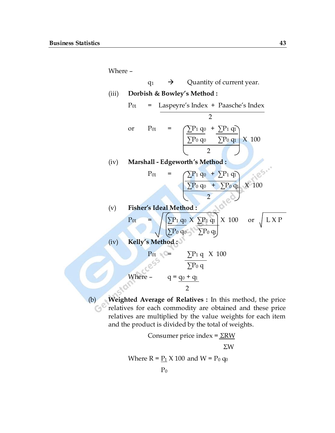Where –  $q_1 \rightarrow Q$ uantity of current year. (iii) **Dorbish & Bowley's Method :**  $P_{01}$  = Laspeyre's Index + Paasche's Index 2 or  $P_{01} = \sum_{i=1}^{n} P_i q_i + \sum_{i=1}^{n} P_i q_i$  $\boxed{\sum P_0 q_0 \quad \sum P_0 q_1}$  X 100  $\overline{2}$ (iv) **Marshall - Edgeworth's Method :**  $P_{01} = \bigcap P_1 q_0 + \sum P_1 q_1$  $\sum P_0 q_0$  +  $\sum P_0 q_1$  X 100 2 (v) **Fisher's Ideal Method :**  $P_{01}$  =  $\sqrt{\sum P_1 q_0 X \sum P_1 q_1} \times 100$  or  $\int L X P$  $\Sigma P_0$  q<sub>0</sub>  $\Sigma P_0$  q<sub>1</sub> (iv) **Kelly's Method :**  $P_{01}$  =  $\sum P_1 q \times 100$  $\sum P_0$  q Where –  $q = q_0 + q_1$ 2

(b) **Weighted Average of Relatives :** In this method, the price relatives for each commodity are obtained and these price Co relatives are multiplied by the value weights for each item and the product is divided by the total of weights.

> Consumer price index =  $\Sigma$ RW ΣW

Where  $R = P_1 \times 100$  and  $W = P_0 q_0$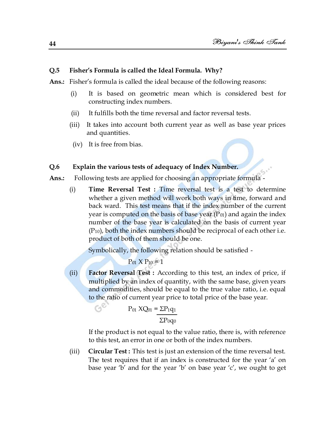#### **Q.5 Fisher's Formula is called the Ideal Formula. Why?**

**Ans.:** Fisher's formula is called the ideal because of the following reasons:

- (i) It is based on geometric mean which is considered best for constructing index numbers.
- (ii) It fulfills both the time reversal and factor reversal tests.
- (iii) It takes into account both current year as well as base year prices and quantities.
- (iv) It is free from bias.

#### **Q.6 Explain the various tests of adequacy of Index Number.**

- **Ans.:** Following tests are applied for choosing an appropriate formula
	- (i) **Time Reversal Test :** Time reversal test is a test to determine whether a given method will work both ways in time, forward and back ward. This test means that if the index number of the current year is computed on the basis of base year  $(P_{01})$  and again the index number of the base year is calculated on the basis of current year  $(P_{10})$ , both the index numbers should be reciprocal of each other i.e. product of both of them should be one.

Symbolically, the following relation should be satisfied -

 $P_{01}$  X  $P_{10}$  = 1

(ii) **Factor Reversal Test :** According to this test, an index of price, if multiplied by an index of quantity, with the same base, given years and commodities, should be equal to the true value ratio, i.e. equal to the ratio of current year price to total price of the base year.

$$
P_{01} \; XQ_{01} = \frac{\Sigma P_1 q_1}{\Sigma P_0 q_0}
$$

If the product is not equal to the value ratio, there is, with reference to this test, an error in one or both of the index numbers.

(iii) **Circular Test :** This test is just an extension of the time reversal test. The test requires that if an index is constructed for the year 'a' on base year 'b' and for the year 'b' on base year  $c'$ , we ought to get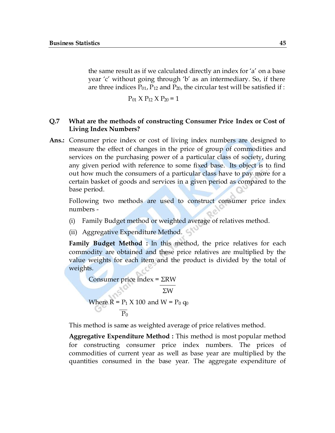the same result as if we calculated directly an index for 'a' on a base year 'c' without going through 'b' as an intermediary. So, if there are three indices  $P_{01}$ ,  $P_{12}$  and  $P_{20}$ , the circular test will be satisfied if :

$$
P_{01} \times P_{12} \times P_{20} = 1
$$

#### **Q.7 What are the methods of constructing Consumer Price Index or Cost of Living Index Numbers?**

**Ans.:** Consumer price index or cost of living index numbers are designed to measure the effect of changes in the price of group of commodities and services on the purchasing power of a particular class of society, during any given period with reference to some fixed base. Its object is to find out how much the consumers of a particular class have to pay more for a certain basket of goods and services in a given period as compared to the base period.

Following two methods are used to construct consumer price index numbers -

- (i) Family Budget method or weighted average of relatives method.
- (ii) Aggregative Expenditure Method.

**Family Budget Method :** In this method, the price relatives for each commodity are obtained and these price relatives are multiplied by the value weights for each item and the product is divided by the total of weights.

Consumer price index = 
$$
\frac{\Sigma \text{RW}}{\Sigma \text{W}}
$$

\nWhere R = P<sub>1</sub> X 100 and W = P<sub>0</sub> q<sub>0</sub>

\n
$$
\frac{P_0}{P_0}
$$

This method is same as weighted average of price relatives method.

**Aggregative Expenditure Method :** This method is most popular method for constructing consumer price index numbers. The prices of commodities of current year as well as base year are multiplied by the quantities consumed in the base year. The aggregate expenditure of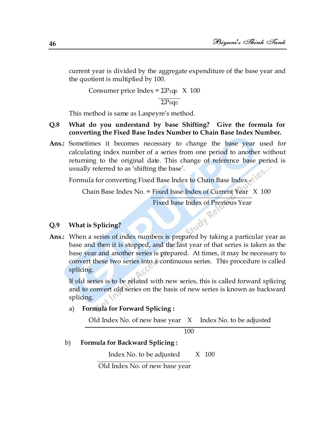current year is divided by the aggregate expenditure of the base year and the quotient is multiplied by 100.

Consumer price Index =  $\Sigma P_{1q_0} \times 100$ 

 $\Sigma P_0 q_0$ 

This method is same as Laspeyre's method.

#### **Q.8 What do you understand by base Shifting? Give the formula for converting the Fixed Base Index Number to Chain Base Index Number.**

**Ans.:** Sometimes it becomes necessary to change the base year used for calculating index number of a series from one period to another without returning to the original date. This change of reference base period is usually referred to as 'shifting the base'.

Formula for converting Fixed Base Index to Chain Base Index

Chain Base Index No. = Fixed base Index of Current Year X 100

Fixed base Index of Previous Year

#### **Q.9 What is Splicing?**

**Ans.:** When a series of index numbers is prepared by taking a particular year as base and then it is stopped, and the last year of that series is taken as the base year and another series is prepared. At times, it may be necessary to convert these two series into a continuous series. This procedure is called splicing.

If old series is to be related with new series, this is called forward splicing and to convert old series on the basis of new series is known as backward splicing.

#### a) **Formula for Forward Splicing :**

Old Index No. of new base year X Index No. to be adjusted

100

b) **Formula for Backward Splicing :**

Index No. to be adjusted  $X$  100

Old Index No. of new base year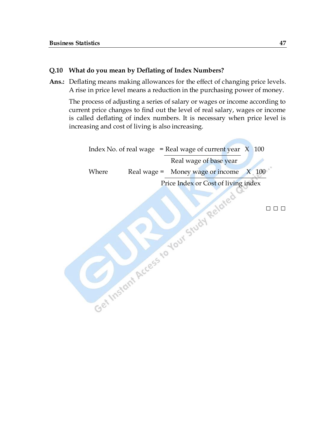#### **Q.10 What do you mean by Deflating of Index Numbers?**

**Ans.:** Deflating means making allowances for the effect of changing price levels. A rise in price level means a reduction in the purchasing power of money.

The process of adjusting a series of salary or wages or income according to current price changes to find out the level of real salary, wages or income is called deflating of index numbers. It is necessary when price level is increasing and cost of living is also increasing.

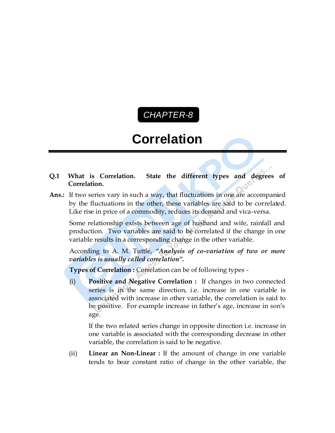# *CHAPTER-8* C

# **Correlation**

- **Q.1 What is Correlation. State the different types and degrees of Correlation.**
- **Ans.:** If two series vary in such a way, that fluctuations in one are accompanied by the fluctuations in the other, these variables are said to be correlated. Like rise in price of a commodity, reduces its demand and vica-versa.

Some relationship exists between age of husband and wife, rainfall and production. Two variables are said to be correlated if the change in one variable results in a corresponding change in the other variable.

According to A. M. Tuttle, *"Analysis of co-variation of two or more variables is usually called correlation".*

**Types of Correlation :** Correlation can be of following types -

(i) **Positive and Negative Correlation :** If changes in two connected series is in the same direction, i.e. increase in one variable is associated with increase in other variable, the correlation is said to be positive. For example increase in father's age, increase in son's age.

If the two related series change in opposite direction i.e. increase in one variable is associated with the corresponding decrease in other variable, the correlation is said to be negative.

(ii) **Linear an Non-Linear :** If the amount of change in one variable tends to bear constant ratio of change in the other variable, the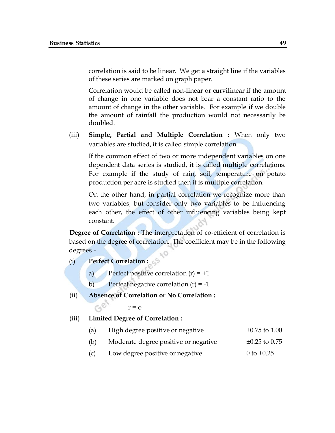correlation is said to be linear. We get a straight line if the variables of these series are marked on graph paper.

Correlation would be called non-linear or curvilinear if the amount of change in one variable does not bear a constant ratio to the amount of change in the other variable. For example if we double the amount of rainfall the production would not necessarily be doubled.

(iii) **Simple, Partial and Multiple Correlation :** When only two variables are studied, it is called simple correlation.

If the common effect of two or more independent variables on one dependent data series is studied, it is called multiple correlations. For example if the study of rain, soil, temperature on potato production per acre is studied then it is multiple correlation.

On the other hand, in partial correlation we recognize more than two variables, but consider only two variables to be influencing each other, the effect of other influencing variables being kept constant.

**Degree of Correlation : The interpretation of co-efficient of correlation is** based on the degree of correlation. The coefficient may be in the following degrees -

(i) **Perfect Correlation :** 

 $C_1^{\mathbb{C}}$ 

- a) Perfect positive correlation  $(r) = +1$
- b) Perfect negative correlation  $(r) = -1$
- (ii) **Absence of Correlation or No Correlation :**

$$
r = 0
$$

(iii) **Limited Degree of Correlation :** 

- (a) High degree positive or negative  $\pm 0.75$  to 1.00
- (b) Moderate degree positive or negative  $\pm 0.25$  to 0.75
- (c) Low degree positive or negative  $0 \text{ to } \pm 0.25$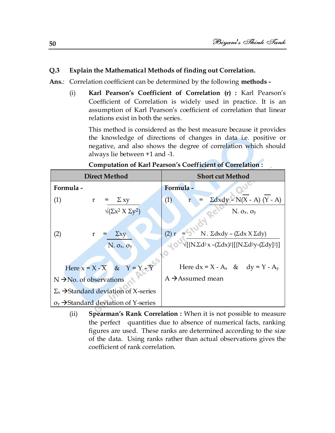#### **Q.3 Explain the Mathematical Methods of finding out Correlation.**

**Ans.**: Correlation coefficient can be determined by the following **methods -**

(i) **Karl Pearson's Coefficient of Correlation (r) :** Karl Pearson's Coefficient of Correlation is widely used in practice. It is an assumption of Karl Pearson's coefficient of correlation that linear relations exist in both the series.

This method is considered as the best measure because it provides the knowledge of directions of changes in data i.e. positive or negative, and also shows the degree of correlation which should always lie between +1 and -1.

| <b>Direct Method</b>                                          | <b>Short cut Method</b>                                                                                                                     |  |  |  |  |  |
|---------------------------------------------------------------|---------------------------------------------------------------------------------------------------------------------------------------------|--|--|--|--|--|
| Formula -                                                     | Formula -                                                                                                                                   |  |  |  |  |  |
| (1)<br>$\Sigma$ xy<br>r                                       | $\Sigma dxdy - N(X - A) (Y - A)$<br>(1)<br>$\mathbf{r}$                                                                                     |  |  |  |  |  |
| $\sqrt{(\Sigma x^2 \times \Sigma y^2)}$                       | $N. \sigma_x. \sigma_y$                                                                                                                     |  |  |  |  |  |
|                                                               |                                                                                                                                             |  |  |  |  |  |
| $\Sigma xy$<br>(2)<br>r                                       | (2) r<br>N. $\Sigma dx dy - (\Sigma dx X \Sigma dy)$                                                                                        |  |  |  |  |  |
| $N. \sigma_x. \sigma_y$                                       | $\sqrt{\left[\{\text{N}.\Sigma\text{d}^2x - (\Sigma\text{d}x)^2\}\right]\left[\{\text{N}.\Sigma\text{d}^2y - (\Sigma\text{d}y)^2\}\right]}$ |  |  |  |  |  |
|                                                               |                                                                                                                                             |  |  |  |  |  |
| Here $x = X - \overline{X}$ & $Y = Y - \overline{Y}$          | Here $dx = X - A_x$ & $dy = Y - A_y$                                                                                                        |  |  |  |  |  |
| $N \rightarrow No.$ of observations                           | A $\rightarrow$ Assumed mean                                                                                                                |  |  |  |  |  |
| $\Sigma_{\rm x}$ $\rightarrow$ Standard deviation of X-series |                                                                                                                                             |  |  |  |  |  |
| $\sigma_{v}$ $\rightarrow$ Standard deviation of Y-series     |                                                                                                                                             |  |  |  |  |  |
|                                                               |                                                                                                                                             |  |  |  |  |  |

**Computation of Karl Pearson's Coefficient of Correlation :**

(ii) **Spearman's Rank Correlation :** When it is not possible to measure the perfect quantities due to absence of numerical facts, ranking figures are used. These ranks are determined according to the size of the data. Using ranks rather than actual observations gives the coefficient of rank correlation.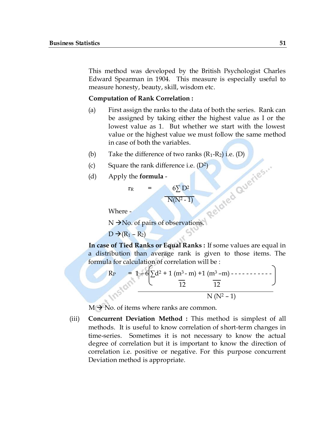This method was developed by the British Psychologist Charles Edward Spearman in 1904. This measure is especially useful to measure honesty, beauty, skill, wisdom etc.

#### **Computation of Rank Correlation :**

- (a) First assign the ranks to the data of both the series. Rank can be assigned by taking either the highest value as I or the lowest value as 1. But whether we start with the lowest value or the highest value we must follow the same method in case of both the variables.
- 
- (c) Square the rank difference i.e.  $(D^2)$
- (d) Apply the **formula** -

(b) Take the difference of two ranks (R<sub>1</sub>-R<sub>2</sub>) i.e. (D)<br>
(c) Square the rank difference i.e. (D<sup>2</sup>)<br>
(d) Apply the **formula** -<br>  $r_R = 6\sum D^2$ <br>
NIA<sup>T</sup><br>
Where  $r_{\rm R}$  = 6∑ D<sup>2</sup>  $N(N^2 - 1)$ 

Where -

N  $\rightarrow$ No. of pairs of observations.

 $D \rightarrow (R_1 - R_2)$ 

**In case of Tied Ranks or Equal Ranks :** If some values are equal in a distribution than average rank is given to those items. The formula for calculation of correlation will be :

R<sup>P</sup> = 1 – 6 ∑d<sup>2</sup> + 1 (m<sup>3</sup>- m) +1 (m<sup>3</sup>–m) - - - - - - - - - - - 12 12 N (N<sup>2</sup> – 1)

 $M \rightarrow No$ . of items where ranks are common.

(iii) **Concurrent Deviation Method :** This method is simplest of all methods. It is useful to know correlation of short-term changes in time-series. Sometimes it is not necessary to know the actual degree of correlation but it is important to know the direction of correlation i.e. positive or negative. For this purpose concurrent Deviation method is appropriate.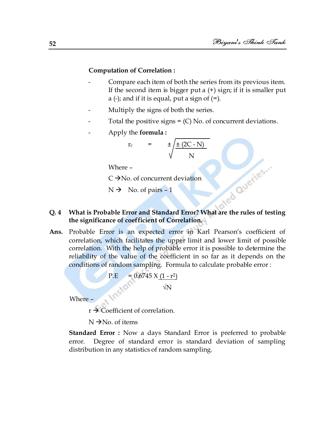#### **Computation of Correlation :**

- Compare each item of both the series from its previous item. If the second item is bigger put a  $(+)$  sign; if it is smaller put a (-); and if it is equal, put a sign of  $(=)$ .
- Multiply the signs of both the series.
- Total the positive signs  $=$  (C) No. of concurrent deviations.
- Apply the **formula :**

$$
r_{c} = \pm \sqrt{\frac{\pm (2C - N)}{N}}
$$

Where –

 $C \rightarrow No.$  of concurrent deviation

 $N \rightarrow N_0$ . of pairs - 1

# **CONCUTER CONSTRAINS AND A What is Probable Error and Standard Error? What are the rules of testing the significance of coefficient of Correlation.**

**Ans.** Probable Error is an expected error in Karl Pearson's coefficient of correlation, which facilitates the upper limit and lower limit of possible correlation. With the help of probable error it is possible to determine the reliability of the value of the coefficient in so far as it depends on the conditions of random sampling. Formula to calculate probable error :

$$
P.E = 0.6745 \times (1 - r^2)
$$

√N

Where –

 $r \rightarrow$  Coefficient of correlation.

 $N \rightarrow No$ . of items

**Standard Error :** Now a days Standard Error is preferred to probable error. Degree of standard error is standard deviation of sampling distribution in any statistics of random sampling.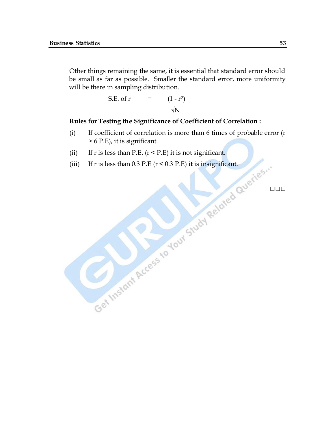Other things remaining the same, it is essential that standard error should be small as far as possible. Smaller the standard error, more uniformity will be there in sampling distribution.

S.E. of r = 
$$
\frac{(1 - r^2)}{\sqrt{N}}
$$

#### **Rules for Testing the Significance of Coefficient of Correlation :**

- (i) If coefficient of correlation is more than 6 times of probable error (r > 6 P.E), it is significant.
- (ii) If r is less than P.E.  $(r < P.E)$  it is not significant.
- (iii) If r is less than  $0.3$  P.E ( $r < 0.3$  P.E) it is insignificant.

**□□□**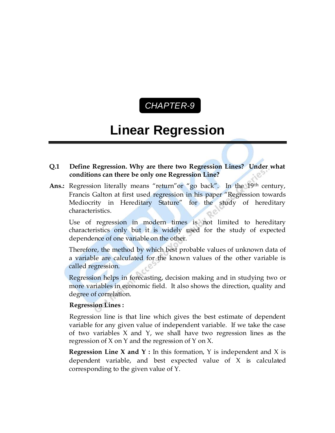# *CHAPTER-9* C

# **Linear Regression**

#### **Q.1 Define Regression. Why are there two Regression Lines? Under what conditions can there be only one Regression Line?**

Ans.: Regression literally means "return" or "go back". In the 19<sup>th</sup> century, Francis Galton at first used regression in his paper "Regression towards" Mediocrity in Hereditary Stature" for the study of hereditary characteristics.

Use of regression in modern times is not limited to hereditary characteristics only but it is widely used for the study of expected dependence of one variable on the other.

Therefore, the method by which best probable values of unknown data of a variable are calculated for the known values of the other variable is called regression.

Regression helps in forecasting, decision making and in studying two or more variables in economic field. It also shows the direction, quality and degree of correlation.

#### **Regression Lines :**

Regression line is that line which gives the best estimate of dependent variable for any given value of independent variable. If we take the case of two variables X and Y, we shall have two regression lines as the regression of X on Y and the regression of Y on X.

**Regression Line X and Y :** In this formation, Y is independent and X is dependent variable, and best expected value of X is calculated corresponding to the given value of Y.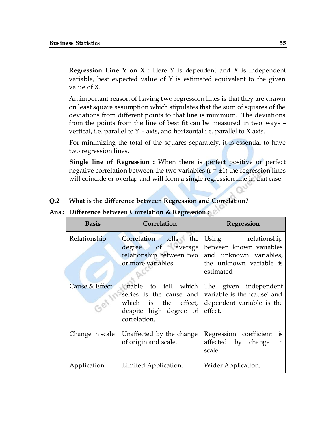**Regression Line Y on X :** Here Y is dependent and X is independent variable, best expected value of Y is estimated equivalent to the given value of X.

An important reason of having two regression lines is that they are drawn on least square assumption which stipulates that the sum of squares of the deviations from different points to that line is minimum. The deviations from the points from the line of best fit can be measured in two ways – vertical, i.e. parallel to  $Y$  – axis, and horizontal i.e. parallel to  $X$  axis.

For minimizing the total of the squares separately, it is essential to have two regression lines.

**Single line of Regression :** When there is perfect positive or perfect negative correlation between the two variables  $(r = \pm 1)$  the regression lines will coincide or overlap and will form a single regression line in that case.

#### **Q.2 What is the difference between Regression and Correlation?**

#### **Ans.: Difference between Correlation & Regression :**

| <b>Basis</b>    | Correlation                                      | Regression                                                                                                                                                 |
|-----------------|--------------------------------------------------|------------------------------------------------------------------------------------------------------------------------------------------------------------|
| Relationship    | Correlation tells the<br>or more variables.      | Using relationship<br>degree of average between known variables<br>relationship between two and unknown variables,<br>the unknown variable is<br>estimated |
| Cause & Effect  | despite high degree of effect.<br>correlation.   | Unable to tell which The given independent<br>series is the cause and variable is the 'cause' and<br>which is the effect, dependent variable is the        |
| Change in scale | Unaffected by the change<br>of origin and scale. | Regression coefficient is<br>affected by change in<br>scale.                                                                                               |
| Application     | Limited Application.                             | Wider Application.                                                                                                                                         |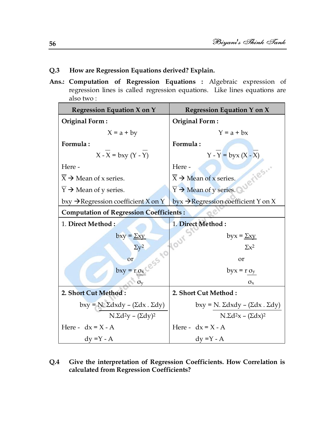#### **Q.3 How are Regression Equations derived? Explain.**

**Ans.: Computation of Regression Equations :** Algebraic expression of regression lines is called regression equations. Like lines equations are also two :

| <b>Regression Equation X on Y</b>                       | <b>Regression Equation Y on X</b>                     |  |  |  |
|---------------------------------------------------------|-------------------------------------------------------|--|--|--|
| <b>Original Form:</b>                                   | Original Form:                                        |  |  |  |
| $X = a + by$                                            | $Y = a + bx$                                          |  |  |  |
| Formula:                                                | Formula:                                              |  |  |  |
| $X - X = bxy (Y - Y)$                                   | $Y - Y = byx (X - X)$                                 |  |  |  |
| Here -                                                  | Here -<br><b>Jeries</b>                               |  |  |  |
| $\overline{X}$ $\rightarrow$ Mean of x series.          | $\overline{X}$ $\rightarrow$ Mean of x series.        |  |  |  |
| $\overline{Y}$ $\rightarrow$ Mean of y series.          | $\overline{Y}$ $\rightarrow$ Mean of y series.        |  |  |  |
| bxy $\rightarrow$ Regression coefficient X on Y         | byx $\rightarrow$ Regression coefficient Y on X       |  |  |  |
| <b>Computation of Regression Coefficients:</b>          |                                                       |  |  |  |
| 1. Direct Method:                                       | 1. Direct Method:                                     |  |  |  |
| $bxy = \underline{y}xy$<br>SS TO YOUR                   | byx = $\underline{\Sigma xy}$                         |  |  |  |
| $\Sigma V^2$                                            | $\Sigma x^2$                                          |  |  |  |
| or                                                      | or                                                    |  |  |  |
| $bxy = r_0x$                                            | $byx = r \sigma_y$                                    |  |  |  |
| $\sigma_v$                                              | $\sigma_{x}$                                          |  |  |  |
| 2. Short Cut Method:                                    | 2. Short Cut Method:                                  |  |  |  |
| $bxy = N$ . $\Sigma dxdy - (\Sigma dx \cdot \Sigma dy)$ | bxy = N. $\Sigma dx dy - (\Sigma dx \cdot \Sigma dy)$ |  |  |  |
| $N.\Sigma d^2y - (\Sigma dy)^2$                         | $N.\Sigma d^2x - (\Sigma dx)^2$                       |  |  |  |
| Here - $dx = X - A$                                     | Here - $dx = X - A$                                   |  |  |  |
| $dy = Y - A$                                            | $dy = Y - A$                                          |  |  |  |

**Q.4 Give the interpretation of Regression Coefficients. How Correlation is calculated from Regression Coefficients?**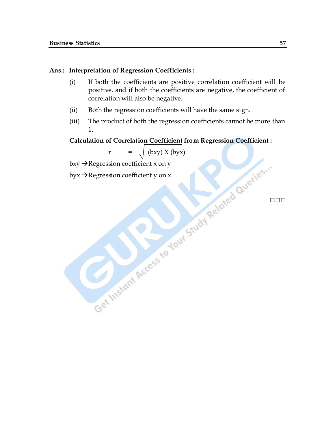#### **Ans.: Interpretation of Regression Coefficients :**

- (i) If both the coefficients are positive correlation coefficient will be positive, and if both the coefficients are negative, the coefficient of correlation will also be negative.
- (ii) Both the regression coefficients will have the same sign.
- (iii) The product of both the regression coefficients cannot be more than 1.

#### **Calculation of Correlation Coefficient from Regression Coefficient :**

r =  $\int (bxy) X (byx)$ 

bxy  $\rightarrow$  Regression coefficient x on y

byx  $\rightarrow$  Regression coefficient y on x.

**□□□**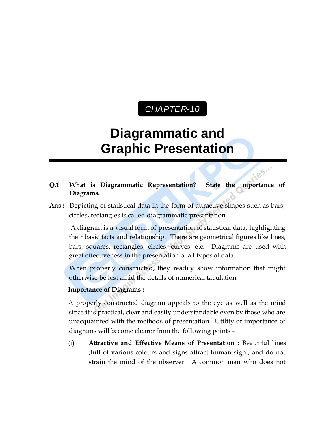## *CHAPTER-10* C

# **Diagrammatic and Graphic Presentation**

**Q.1 What is Diagrammatic Representation? State the importance of Diagrams.**

es.

**Ans.:** Depicting of statistical data in the form of attractive shapes such as bars, circles, rectangles is called diagrammatic presentation.

A diagram is a visual form of presentation of statistical data, highlighting their basic facts and relationship. There are geometrical figures like lines, bars, squares, rectangles, circles, curves, etc. Diagrams are used with great effectiveness in the presentation of all types of data.

When properly constructed, they readily show information that might otherwise be lost amid the details of numerical tabulation.

#### **Importance of Diagrams :**

 A properly constructed diagram appeals to the eye as well as the mind since it is practical, clear and easily understandable even by those who are unacquainted with the methods of presentation. Utility or importance of diagrams will become clearer from the following points -

(i) **Attractive and Effective Means of Presentation :** Beautiful lines ;full of various colours and signs attract human sight, and do not strain the mind of the observer. A common man who does not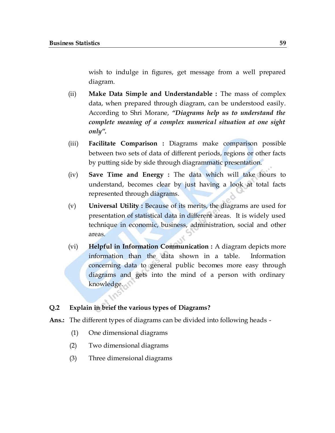wish to indulge in figures, get message from a well prepared diagram.

- (ii) **Make Data Simple and Understandable :** The mass of complex data, when prepared through diagram, can be understood easily. According to Shri Morane, *"Diagrams help us to understand the complete meaning of a complex numerical situation at one sight only".*
- (iii) **Facilitate Comparison :** Diagrams make comparison possible between two sets of data of different periods, regions or other facts by putting side by side through diagrammatic presentation.
- (iv) **Save Time and Energy :** The data which will take hours to understand, becomes clear by just having a look at total facts represented through diagrams.
- (v) **Universal Utility :** Because of its merits, the diagrams are used for presentation of statistical data in different areas. It is widely used technique in economic, business, administration, social and other areas.
- (vi) **Helpful in Information Communication :** A diagram depicts more information than the data shown in a table. Information concerning data to general public becomes more easy through diagrams and gets into the mind of a person with ordinary knowledge.

#### **Q.2 Explain in brief the various types of Diagrams?**

**Ans.:** The different types of diagrams can be divided into following heads -

- (1) One dimensional diagrams
- (2) Two dimensional diagrams
- (3) Three dimensional diagrams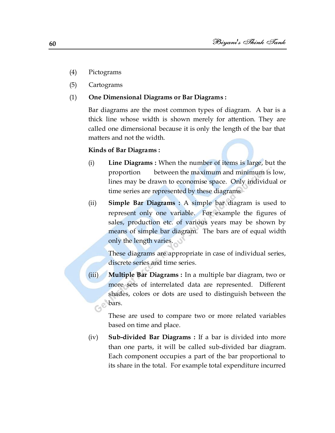- (4) Pictograms
- (5) Cartograms
- (1) **One Dimensional Diagrams or Bar Diagrams :**

Bar diagrams are the most common types of diagram. A bar is a thick line whose width is shown merely for attention. They are called one dimensional because it is only the length of the bar that matters and not the width.

#### **Kinds of Bar Diagrams :**

- (i) **Line Diagrams :** When the number of items is large, but the proportion between the maximum and minimum is low, lines may be drawn to economise space. Only individual or time series are represented by these diagrams
- (ii) **Simple Bar Diagrams :** A simple bar diagram is used to represent only one variable. For example the figures of sales, production etc. of various years may be shown by means of simple bar diagram. The bars are of equal width only the length varies.

These diagrams are appropriate in case of individual series, discrete series and time series.

(iii) **Multiple Bar Diagrams :** In a multiple bar diagram, two or more sets of interrelated data are represented. Different shades, colors or dots are used to distinguish between the **Collars**.

> These are used to compare two or more related variables based on time and place.

(iv) **Sub-divided Bar Diagrams :** If a bar is divided into more than one parts, it will be called sub-divided bar diagram. Each component occupies a part of the bar proportional to its share in the total. For example total expenditure incurred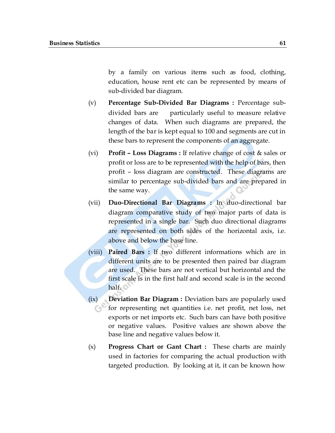by a family on various items such as food, clothing, education, house rent etc can be represented by means of sub-divided bar diagram.

- (v) **Percentage Sub-Divided Bar Diagrams :** Percentage subdivided bars are particularly useful to measure relative changes of data. When such diagrams are prepared, the length of the bar is kept equal to 100 and segments are cut in these bars to represent the components of an aggregate.
- (vi) **Profit – Loss Diagrams :** If relative change of cost & sales or profit or loss are to be represented with the help of bars, then profit – loss diagram are constructed. These diagrams are similar to percentage sub-divided bars and are prepared in the same way.
- (vii) **Duo-Directional Bar Diagrams :** In duo-directional bar diagram comparative study of two major parts of data is represented in a single bar. Such duo directional diagrams are represented on both sides of the horizontal axis, i.e. above and below the base line.
- (viii) **Paired Bars :** If two different informations which are in different units are to be presented then paired bar diagram are used. These bars are not vertical but horizontal and the first scale is in the first half and second scale is in the second half.
- (ix) **Deviation Bar Diagram :** Deviation bars are popularly used for representing net quantities i.e. net profit, net loss, net exports or net imports etc. Such bars can have both positive or negative values. Positive values are shown above the base line and negative values below it.
- (x) **Progress Chart or Gant Chart :** These charts are mainly used in factories for comparing the actual production with targeted production. By looking at it, it can be known how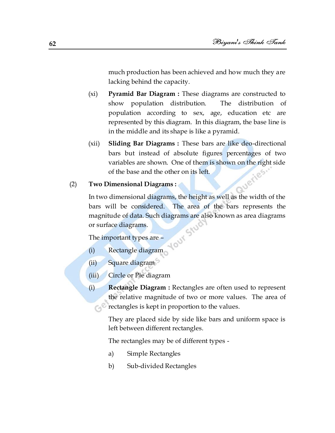much production has been achieved and how much they are lacking behind the capacity.

- (xi) **Pyramid Bar Diagram :** These diagrams are constructed to show population distribution. The distribution of population according to sex, age, education etc are represented by this diagram. In this diagram, the base line is in the middle and its shape is like a pyramid.
- (xii) **Sliding Bar Diagrams :** These bars are like deo-directional bars but instead of absolute figures percentages of two variables are shown. One of them is shown on the right side<br>of the base and the other on its left.<br>**Dimensional Diagrams** of the base and the other on its left.

#### (2) **Two Dimensional Diagrams :**

In two dimensional diagrams, the height as well as the width of the bars will be considered. The area of the bars represents the magnitude of data. Such diagrams are also known as area diagrams or surface diagrams.

**TOUX** 

The important types are –

- (i) Rectangle diagram
- (ii) Square diagram
- (iii) Circle or Pie diagram
- (i) **Rectangle Diagram :** Rectangles are often used to represent the relative magnitude of two or more values. The area of rectangles is kept in proportion to the values.

They are placed side by side like bars and uniform space is left between different rectangles.

The rectangles may be of different types -

- a) Simple Rectangles
- b) Sub-divided Rectangles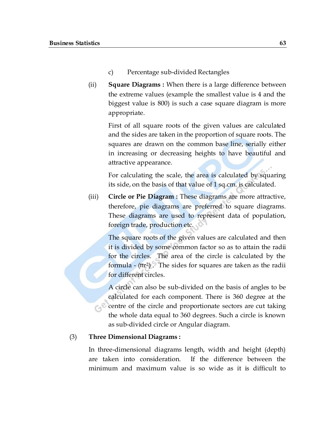- c) Percentage sub-divided Rectangles
- (ii) **Square Diagrams :** When there is a large difference between the extreme values (example the smallest value is 4 and the biggest value is 800) is such a case square diagram is more appropriate.

First of all square roots of the given values are calculated and the sides are taken in the proportion of square roots. The squares are drawn on the common base line, serially either in increasing or decreasing heights to have beautiful and attractive appearance.

For calculating the scale, the area is calculated by squaring its side, on the basis of that value of 1 sq.cm. is calculated.

(iii) **Circle or Pie Diagram :** These diagrams are more attractive, therefore, pie diagrams are preferred to square diagrams. These diagrams are used to represent data of population, foreign trade, production etc.

> The square roots of the given values are calculated and then it is divided by some common factor so as to attain the radii for the circles. The area of the circle is calculated by the formula  $-$  ( $\pi r^2$ ). The sides for squares are taken as the radii for different circles.

A circle can also be sub-divided on the basis of angles to be calculated for each component. There is 360 degree at the centre of the circle and proportionate sectors are cut taking the whole data equal to 360 degrees. Such a circle is known as sub-divided circle or Angular diagram.

#### (3) **Three Dimensional Diagrams :**

In three-dimensional diagrams length, width and height (depth) are taken into consideration. If the difference between the minimum and maximum value is so wide as it is difficult to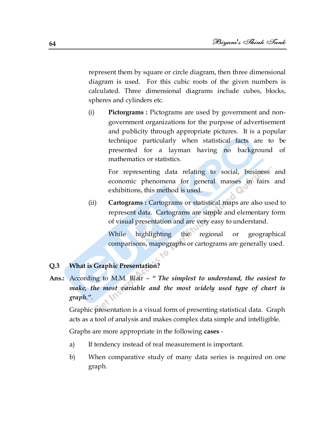represent them by square or circle diagram, then three dimensional diagram is used. For this cubic roots of the given numbers is calculated. Three dimensional diagrams include cubes, blocks, spheres and cylinders etc.

(i) **Pictorgrams :** Pictograms are used by government and nongovernment organizations for the purpose of advertisement and publicity through appropriate pictures. It is a popular technique particularly when statistical facts are to be presented for a layman having no background of mathematics or statistics.

> For representing data relating to social, business and economic phenomena for general masses in fairs and exhibitions, this method is used.

(ii) **Cartograms :** Cartograms or statistical maps are also used to represent data. Cartograms are simple and elementary form of visual presentation and are very easy to understand.

While highlighting the regional or geographical comparisons, mapographs or cartograms are generally used.

#### **Q.3 What is Graphic Presentation?**

**Ans.:** According to M.M. Blair – *" The simplest to understand, the easiest to make, the most variable and the most widely used type of chart is graph."*.

Graphic presentation is a visual form of presenting statistical data. Graph acts as a tool of analysis and makes complex data simple and intelligible.

Graphs are more appropriate in the following **cases** -

- a) If tendency instead of real measurement is important.
- b) When comparative study of many data series is required on one graph.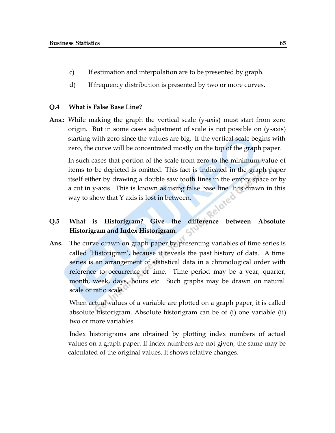- c) If estimation and interpolation are to be presented by graph.
- d) If frequency distribution is presented by two or more curves.

#### **Q.4 What is False Base Line?**

**Ans.:** While making the graph the vertical scale (y-axis) must start from zero origin. But in some cases adjustment of scale is not possible on  $(y-axis)$ starting with zero since the values are big. If the vertical scale begins with zero, the curve will be concentrated mostly on the top of the graph paper.

In such cases that portion of the scale from zero to the minimum value of items to be depicted is omitted. This fact is indicated in the graph paper itself either by drawing a double saw tooth lines in the empty space or by a cut in y-axis. This is known as using false base line. It is drawn in this way to show that Y axis is lost in between.

### **Q.5 What is Historigram? Give the difference between Absolute Historigram and Index Historigram.**

**Ans.** The curve drawn on graph paper by presenting variables of time series is called ‗Historigram', because it reveals the past history of data. A time series is an arrangement of statistical data in a chronological order with reference to occurrence of time. Time period may be a year, quarter, month, week, days, hours etc. Such graphs may be drawn on natural scale or ratio scale.

When actual values of a variable are plotted on a graph paper, it is called absolute historigram. Absolute historigram can be of (i) one variable (ii) two or more variables.

Index historigrams are obtained by plotting index numbers of actual values on a graph paper. If index numbers are not given, the same may be calculated of the original values. It shows relative changes.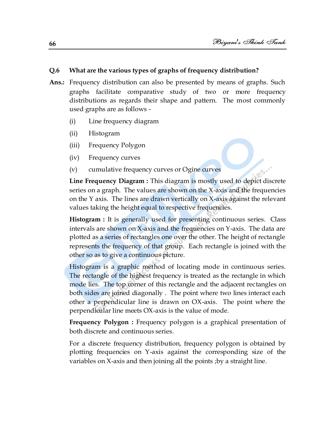#### **Q.6 What are the various types of graphs of frequency distribution?**

- **Ans.:** Frequency distribution can also be presented by means of graphs. Such graphs facilitate comparative study of two or more frequency distributions as regards their shape and pattern. The most commonly used graphs are as follows -
	- (i) Line frequency diagram
	- (ii) Histogram
	- (iii) Frequency Polygon
	- (iv) Frequency curves
	- (v) cumulative frequency curves or Ogine curves

**Line Frequency Diagram :** This diagram is mostly used to depict discrete series on a graph. The values are shown on the X-axis and the frequencies on the Y axis. The lines are drawn vertically on X-axis against the relevant values taking the height equal to respective frequencies.

**Histogram :** It is generally used for presenting continuous series. Class intervals are shown on X-axis and the frequencies on Y-axis. The data are plotted as a series of rectangles one over the other. The height of rectangle represents the frequency of that group. Each rectangle is joined with the other so as to give a continuous picture.

Histogram is a graphic method of locating mode in continuous series. The rectangle of the highest frequency is treated as the rectangle in which mode lies. The top corner of this rectangle and the adjacent rectangles on both sides are joined diagonally . The point where two lines interact each other a perpendicular line is drawn on OX-axis. The point where the perpendicular line meets OX-axis is the value of mode.

**Frequency Polygon :** Frequency polygon is a graphical presentation of both discrete and continuous series.

For a discrete frequency distribution, frequency polygon is obtained by plotting frequencies on Y-axis against the corresponding size of the variables on X-axis and then joining all the points ;by a straight line.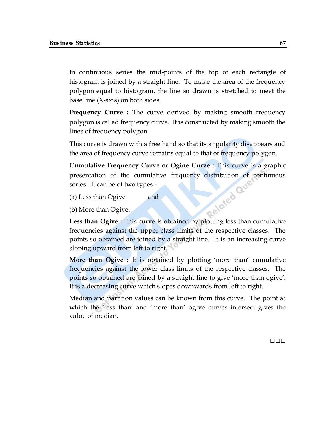In continuous series the mid-points of the top of each rectangle of histogram is joined by a straight line. To make the area of the frequency polygon equal to histogram, the line so drawn is stretched to meet the base line (X-axis) on both sides.

**Frequency Curve :** The curve derived by making smooth frequency polygon is called frequency curve. It is constructed by making smooth the lines of frequency polygon.

This curve is drawn with a free hand so that its angularity disappears and the area of frequency curve remains equal to that of frequency polygon.

**Cumulative Frequency Curve or Ogine Curve :** This curve is a graphic presentation of the cumulative frequency distribution of continuous<br>series. It can be of two types -<br>(a) Less than Ogive and<br>(b) More than Ogive. series. It can be of two types -

- (a) Less than Ogive and
- (b) More than Ogive.

**Less than Ogive :** This curve is obtained by plotting less than cumulative frequencies against the upper class limits of the respective classes. The points so obtained are joined by a straight line. It is an increasing curve sloping upward from left to right.

**More than Ogive** : It is obtained by plotting 'more than' cumulative frequencies against the lower class limits of the respective classes. The points so obtained are joined by a straight line to give ‗more than ogive'. It is a decreasing curve which slopes downwards from left to right.

Median and partition values can be known from this curve. The point at which the 'less than' and 'more than' ogive curves intersect gives the value of median.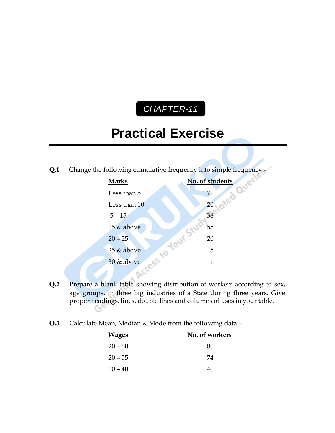# *CHAPTER-11* C

# **Practical Exercise**



- **Q.2** Prepare a blank table showing distribution of workers according to sex, age groups, in three big industries of a State during three years. Give proper headings, lines, double lines and columns of uses in your table.
- **Q.3** Calculate Mean, Median & Mode from the following data –

| <b>Wages</b> | No. of workers |
|--------------|----------------|
| $20 - 60$    | 80             |
| $20 - 55$    | 74             |
| $20 - 40$    | 40             |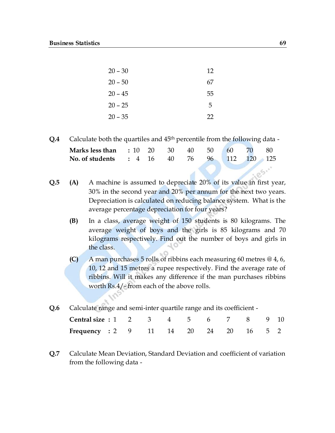| $20 - 30$ | 12 |
|-----------|----|
| $20 - 50$ | 67 |
| $20 - 45$ | 55 |
| $20 - 25$ | 5  |
| $20 - 35$ | 22 |

**Q.4** Calculate both the quartiles and 45th percentile from the following data -

| <b>Marks less than</b> : 10 20 30 40 50 60 70 80 |  |  |  |  |
|--------------------------------------------------|--|--|--|--|
| No. of students : 4 16 40 76 96 112 120 125      |  |  |  |  |

- **Q.5 (A)** A machine is assumed to depreciate 20% of its value in first year, 30% in the second year and 20% per annum for the next two years. Depreciation is calculated on reducing balance system. What is the average percentage depreciation for four years?
	- **(B)** In a class, average weight of 150 students is 80 kilograms. The average weight of boys and the girls is 85 kilograms and 70 kilograms respectively. Find out the number of boys and girls in the class.
	- **(C)** A man purchases 5 rolls of ribbins each measuring 60 metres @ 4, 6, 10, 12 and 15 metres a rupee respectively. Find the average rate of ribbins. Will it makes any difference if the man purchases ribbins worth Rs.4/- from each of the above rolls.

 $\mathcal{L}_{\alpha}$ 

| <b>Central size : 1 2 3 4 5 6 7 8 9 10</b>   |  |  |  |  |  |
|----------------------------------------------|--|--|--|--|--|
| <b>Frequency : 2 9 11 14 20 24 20 16 5 2</b> |  |  |  |  |  |

**Q.7** Calculate Mean Deviation, Standard Deviation and coefficient of variation from the following data -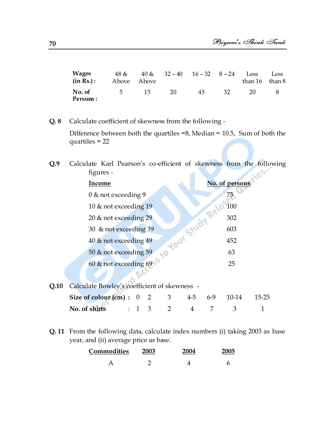| <b>Wages</b><br>$(in Rs.)$ : | Above Above |    |    | $48 & 40 & 32 - 40$ $16 - 32$ $8 - 24$ Less |      | than $16$ than $8$ | Less |
|------------------------------|-------------|----|----|---------------------------------------------|------|--------------------|------|
| No. of<br>Persons:           | $-5$        | 15 | 20 | 45                                          | .32. | 20                 |      |

**Q. 8** Calculate coefficient of skewness from the following - Difference between both the quartiles =8, Median = 10.5, Sum of both the quartiles = 22

**Q.9** Calculate Karl Pearson's co-efficient of skewness from the following figures -  $.85$ d

|      | Income                                       | No. of persons |       |       |           |  |  |
|------|----------------------------------------------|----------------|-------|-------|-----------|--|--|
|      | $0 \&$ not exceeding 9                       |                |       | 75    |           |  |  |
|      | 10 & not exceeding 19                        |                |       | 100   |           |  |  |
|      | 20 & not exceeding 29                        |                |       | 302   |           |  |  |
|      | Your Study<br>30 & not exceeding 39          |                |       | 603   |           |  |  |
|      | 40 & not exceeding 49                        |                |       | 452   |           |  |  |
|      | 50 & not exceeding 59<br>$\sim$              |                |       | 63    |           |  |  |
|      | 60 & not exceeding 69                        |                |       | 25    |           |  |  |
|      |                                              |                |       |       |           |  |  |
| Q.10 | Calculate Bowley's coefficient of skewness - |                |       |       |           |  |  |
|      | Size of colour (cm):<br>3<br>$\overline{2}$  | 4-5            | $6-9$ | 10-14 | $15 - 25$ |  |  |

**Q. 11** From the following data, calculate index numbers (i) taking 2003 as base year, and (ii) average price as base.

**No. of shirts** : 1 3 2 4 7 3 1

| Commodities | 2003 | 2004 | 2005 |
|-------------|------|------|------|
|             |      |      |      |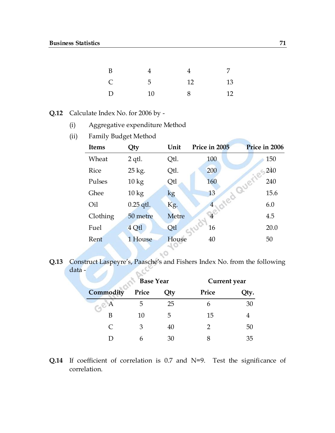| B            |                 | 4  |    |
|--------------|-----------------|----|----|
| $\mathsf{C}$ | $5\overline{)}$ | 12 | 13 |
| D            | 10              | 8  | 12 |

- **Q.12** Calculate Index No. for 2006 by
	- (i) Aggregative expenditure Method
	- (ii) Family Budget Method

| <b>Items</b> | Qty             | Unit  | Price in 2005  | Price in 2006  |
|--------------|-----------------|-------|----------------|----------------|
| Wheat        | $2$ qtl.        | Qtl.  | 100            | 150            |
| Rice         | 25 kg.          | Qtl.  | 200            | 240            |
| Pulses       | $10 \text{ kg}$ | Qtl   | 160            | averie-<br>240 |
| Ghee         | $10 \text{ kg}$ | kg    | 13             | 15.6           |
| Oil          | $0.25$ qtl.     | Kg.   | $\overline{4}$ | 6.0            |
| Clothing     | 50 metre        | Metre | $\overline{4}$ | 4.5            |
| Fuel         | 4 Qtl           | Qtl   | 16             | 20.0           |
| Rent         | 1 House         | House | 40             | 50             |

Q.13 Construct Laspeyre's, Paasche's and Fishers Index No. from the following data data -

 $\sim$ 

|  |                     | <b>Base Year</b> |        | Current year |      |
|--|---------------------|------------------|--------|--------------|------|
|  | Commodity           | Price            | $Q$ ty | Price        | Qty. |
|  | $\odot^{\otimes A}$ | 5                | 25     | h            | 30   |
|  | В                   | 10               | 5      | 15           |      |
|  | $\subset$           | 3                | 40     |              | 50   |
|  |                     |                  | 30     |              | 35   |

**Q.14** If coefficient of correlation is 0.7 and N=9. Test the significance of correlation.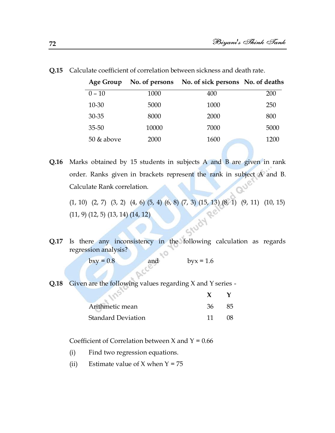| Age Group     |       | No. of persons No. of sick persons No. of deaths |      |
|---------------|-------|--------------------------------------------------|------|
| $0 - 10$      | 1000  | 400                                              | 200  |
| $10 - 30$     | 5000  | 1000                                             | 250  |
| 30-35         | 8000  | 2000                                             | 800  |
| $35 - 50$     | 10000 | 7000                                             | 5000 |
| $50 \&$ above | 2000  | 1600                                             | 1200 |

**Q.15** Calculate coefficient of correlation between sickness and death rate.

**Q.16** Marks obtained by 15 students in subjects A and B are given in rank order. Ranks given in brackets represent the rank in subject A and B. Calculate Rank correlation.

(1, 10) (2, 7) (3, 2) (4, 6) (5, 4) (6, 8) (7, 3) (15, 13) (8, 1) (9, 11) (10, 15) (11, 9) (12, 5) (13, 14) (14, 12) **Q.17** Is there any inconsistency in the following calculation as regards

regression analysis? χO

bxy =  $0.8$  and byx =  $1.6$ 

**Q.18** Given are the following values regarding X and Y series -

| Arithmetic mean           | 36 | 85. |
|---------------------------|----|-----|
| <b>Standard Deviation</b> | 11 | 08. |

Coefficient of Correlation between  $X$  and  $Y = 0.66$ 

- (i) Find two regression equations.
- (ii) Estimate value of  $X$  when  $Y = 75$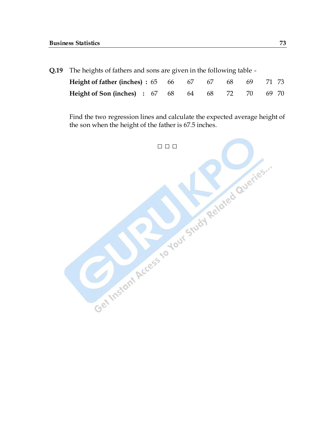**Q.19** The heights of fathers and sons are given in the following table -

| <b>Height of father (inches): 65 66 67 67 68 69 71 73</b> |  |  |  |  |
|-----------------------------------------------------------|--|--|--|--|
| Height of Son (inches) : 67 68 64 68 72 70 69 70          |  |  |  |  |

Find the two regression lines and calculate the expected average height of the son when the height of the father is 67.5 inches.

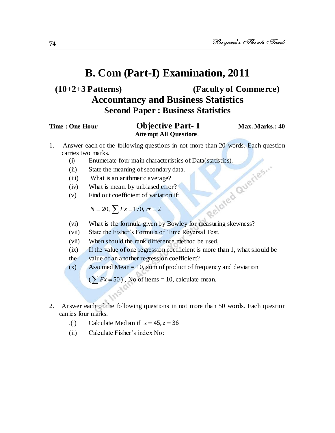# **(10+2+3 Patterns) (Faculty of Commerce) Accountancy and Business Statistics Second Paper : Business Statistics**

### **Time : One Hour Objective Part-I** Max. Marks.: 40 **Attempt All Questions**.

- 1. Answer each of the following questions in not more than 20 words. Each question carries two marks.
	- (i) Enumerate four main characteristics of Data(statistics).<br>
	(ii) State the meaning of secondary data.<br>
	(iii) What is an arithmetic average?<br>
	(iv) What is meant by unbiased error?<br>
	(v) Find out coefficient of variation i
	- (ii) State the meaning of secondary data.
	- (iii) What is an arithmetic average?
	- (iv) What is meant by unbiased error?
	- (v) Find out coefficient of variation if:

$$
N = 20, \sum Fx = 170, \sigma = 2
$$

- (vi) What is the formula given by Bowley for measuring skewness?
- (vii) State the Fisher's Formula of Time Reversal Test.
- (vii) When should the rank difference method be used,
- (ix) If the value of one regression coefficient is more than 1, what should be
- the value of an another regression coefficient?
- $(x)$  Assumed Mean = 10, sum of product of frequency and deviation

 $(\sum Fx = 50)$ , No of items = 10, calculate mean.

- 2. Answer each of the following questions in not more than 50 words. Each question carries four marks.
	- $\text{.} \text{(i)}$  Calculate Median if  $x = 45, z = 36$
	- (ii) Calculate Fisher's index No: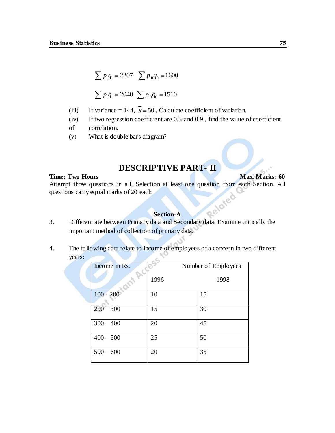$$
\sum p_1 q_1 = 2207 \sum p_0 q_0 = 1600
$$
  

$$
\sum p_1 q_1 = 2040 \sum p_0 q_0 = 1510
$$

- (iii) If variance = 144,  $x = 50$ , Calculate coefficient of variation.
- (iv) If two regression coefficient are 0.5 and 0.9 , find the value of coefficient
- of correlation.
- (v) What is double bars diagram?

### **DESCRIPTIVE PART- II**

#### **Time: Two Hours** Max. Marks: 60

Attempt three questions in all, Selection at least one question from each Section. All questions carry equal marks of 20 each questions carry equal marks of 20 each

### **Section-A**

- 3. Differentiate between Primary data and Secondary data. Examine critically the important method of collection of primary data.
- 4. The following data relate to income of employees of a concern in two different years:

| Income in Rs. |      | Number of Employees |
|---------------|------|---------------------|
|               | 1996 | 1998                |
| $100 - 200$   | 10   | 15                  |
| $200 - 300$   | 15   | 30                  |
| $300 - 400$   | 20   | 45                  |
| $400 - 500$   | 25   | 50                  |
| $500 - 600$   | 20   | 35                  |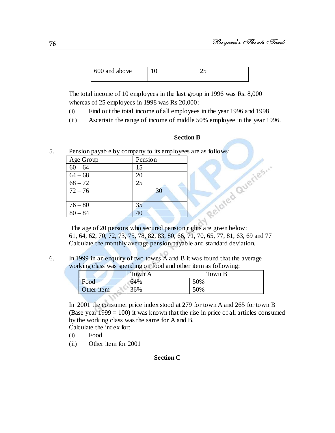| 600 and above | -- |
|---------------|----|
|               |    |

The total income of 10 employees in the last group in 1996 was Rs. 8,000 whereas of 25 employees in 1998 was Rs 20,000:

- (i) Find out the total income of all employees in the year 1996 and 1998
- (ii) Ascertain the range of income of middle 50% employee in the year 1996.

5. Pension payable by company to its employees are as follows:

|           |                                                             | <b>Section B</b> |
|-----------|-------------------------------------------------------------|------------------|
|           | Pension payable by company to its employees are as follows: |                  |
| Age Group | Pension                                                     |                  |
| $60 - 64$ | 15                                                          |                  |
| $64 - 68$ | 20                                                          |                  |
| $68 - 72$ | 25                                                          | weries           |
| $72 - 76$ | 30                                                          |                  |
|           |                                                             |                  |
| $76 - 80$ | 35                                                          | Relater          |
| $80 - 84$ | 40                                                          |                  |
|           |                                                             |                  |

The age of 20 persons who secured pension rights are given below: 61, 64, 62, 70, 72, 73, 75, 78, 82, 83, 80, 66, 71, 70, 65, 77, 81, 63, 69 and 77 Calculate the monthly average pension payable and standard deviation.

6. In 1999 in an enquiry of two towns A and B it was found that the average working class was spending on food and other item as following:

| --         | --     | -      |
|------------|--------|--------|
|            | Town A | Town B |
| Food       | 64%    | 50%    |
| Other item | 36%    | 50%    |
|            |        |        |

In 2001 the consumer price index stood at 279 for town A and 265 for town B (Base year  $1999 = 100$ ) it was known that the rise in price of all articles consumed by the working class was the same for A and B.

Calculate the index for:

- (i) Food
- (ii) Other item for 2001

### **Section C**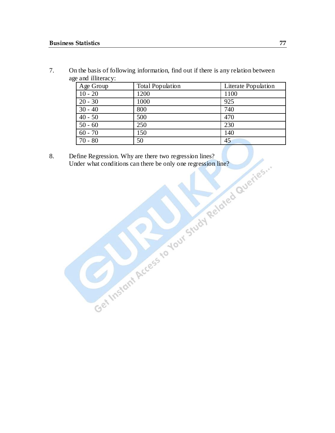7. On the basis of following information, find out if there is any relation between age and illiteracy:

| Age Group | <b>Total Population</b> | Literate Population |
|-----------|-------------------------|---------------------|
| $10 - 20$ | 1200                    | 1100                |
| $20 - 30$ | 1000                    | 925                 |
| $30 - 40$ | 800                     | 740                 |
| $40 - 50$ | 500                     | 470                 |
| $50 - 60$ | 250                     | 230                 |
| $60 - 70$ | 150                     | 140                 |
| $70 - 80$ | 50                      | 45                  |

8. Define Regression. Why are there two regression lines? Under what conditions can there be only one regression line?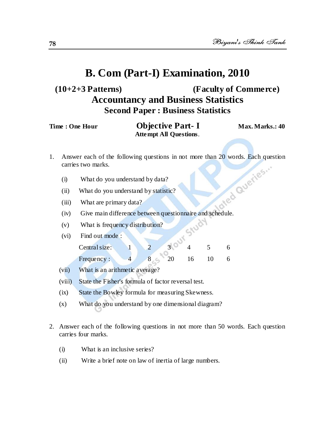# **(10+2+3 Patterns) (Faculty of Commerce) Accountancy and Business Statistics Second Paper : Business Statistics**

| Time : One Hour | <b>Objective Part-I</b> | Max. Marks.: 40 |
|-----------------|-------------------------|-----------------|
|                 | Attempt All Questions.  |                 |

- 1. Answer each of the following questions in not more than 20 words. Each question carries two marks.<br>
(i) What do you understand by data?<br>
(ii) What do you understand by statistic?<br>
(iii) What are primer carries two marks.
	- (i) What do you understand by data?
	- (ii) What do you understand by statistic?
	- (iii) What are primary data?
	- (iv) Give main difference between questionnaire and schedule.
	- (v) What is frequency distribution?
	- (vi) Find out mode :

| Central size: |  |  |  |
|---------------|--|--|--|
| Frequency:    |  |  |  |

- (vii) What is an arithmetic average?
- (viii) State the Fisher's formula of factor reversal test.
- (ix) State the Bowley formula for measuring Skewness.
- (x) What do you understand by one dimensional diagram?
- 2. Answer each of the following questions in not more than 50 words. Each question carries four marks.
	- (i) What is an inclusive series?
	- (ii) Write a brief note on law of inertia of large numbers.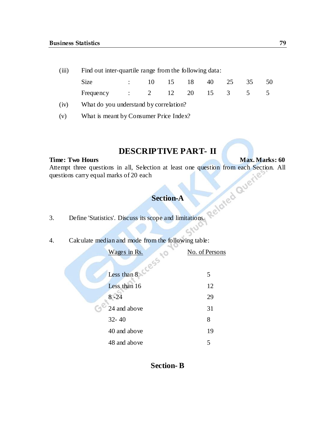(iii) Find out inter-quartile range from the following data:

| Size                         | $\therefore$ 10 15 18 40 25 35 50 |  |  |  |
|------------------------------|-----------------------------------|--|--|--|
| Frequency : 2 12 20 15 3 5 5 |                                   |  |  |  |

(iv) What do you understand by correlation?

(v) What is meant by Consumer Price Index?

### **DESCRIPTIVE PART- II**

#### **Time: Two Hours Max. Marks: 60**

Attempt three questions in all, Selection at least one question from each Section. All questions carry equal marks of 20 each

### **Section-A**

- 3. Define 'Statistics'. Discuss its scope and limitations.
- 4. Calculate median and mode from the following table:

| No. of Persons |
|----------------|
|                |
| 5              |
| 12             |
| 29             |
| 31             |
| 8              |
| 19             |
| 5              |
|                |

**Section- B**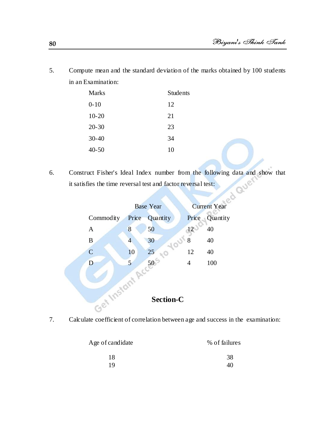5. Compute mean and the standard deviation of the marks obtained by 100 students in an Examination:

| <b>Marks</b> | <b>Students</b> |
|--------------|-----------------|
| $0 - 10$     | 12              |
| $10 - 20$    | 21              |
| $20 - 30$    | 23              |
| $30 - 40$    | 34              |
| $40 - 50$    | 10              |

6. Construct Fisher's Ideal Index number from the following data and show that it satisfies the time reversal test and factor reversal test:



7. Calculate coefficient of correlation between age and success in the examination:

| Age of candidate | % of failures |
|------------------|---------------|
| 18               | 38            |
| 19               | 40            |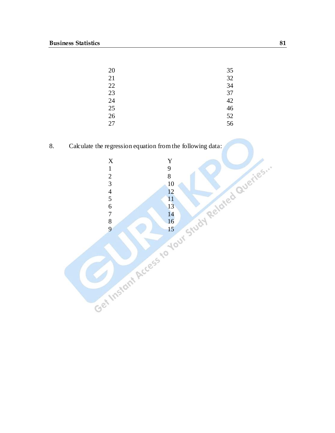| 20 | 35 |
|----|----|
| 21 | 32 |
| 22 | 34 |
| 23 | 37 |
| 24 | 42 |
| 25 | 46 |
| 26 | 52 |
| 27 | 56 |

8. Calculate the regression equation from the following data:

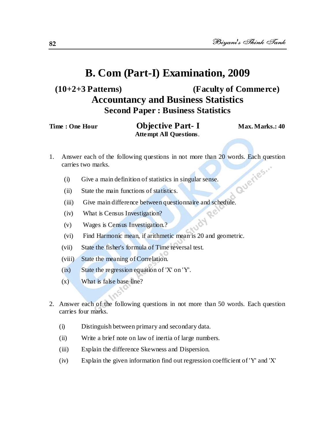# **(10+2+3 Patterns) (Faculty of Commerce) Accountancy and Business Statistics Second Paper : Business Statistics**

| Time : One Hour | <b>Objective Part-1</b>       | Max. Marks.: 40 |
|-----------------|-------------------------------|-----------------|
|                 | <b>Attempt All Questions.</b> |                 |

1. Answer each of the following questions in not more than 20 words. Each question carries two marks.<br>
(i) Give a main definition of statistics in singular senses<br>
(ii) State the main f carries two marks.

Re

150

- (i) Give a main definition of statistics in singular sense.
- (ii) State the main functions of statistics.
- (iii) Give main difference between questionnaire and schedule.
- (iv) What is Census Investigation?
- (v) Wages is Census Investigation.?
- (vi) Find Harmonic mean, if arithmetic mean is 20 and geometric.
- (vii) State the fisher's formula of Time reversal test.
- (viii) State the meaning of Correlation.
- (ix) State the regression equation of 'X' on 'Y'.
- (x) What is false base line?
- 2. Answer each of the following questions in not more than 50 words. Each question carries four marks.
	- (i) Distinguish between primary and secondary data.
	- (ii) Write a brief note on law of inertia of large numbers.
	- (iii) Explain the difference Skewness and Dispersion.
	- (iv) Explain the given information find out regression coefficient of 'Y' and 'X'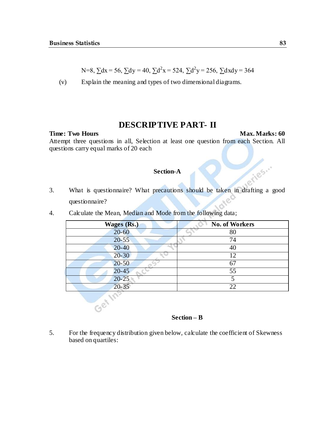N=8, 
$$
\sum dx = 56
$$
,  $\sum dy = 40$ ,  $\sum d^2x = 524$ ,  $\sum d^2y = 256$ ,  $\sum dxdy = 364$ 

(v) Explain the meaning and types of two dimensional diagrams.

### **DESCRIPTIVE PART- II**

**Time: Two Hours Max. Marks: 60** 

Attempt three questions in all, Selection at least one question from each Section. All questions carry equal marks of 20 each

### **Section-A**

Section-A<br>3. What is questionnaire? What precautions should be taken in drafting a good<br>questionnaire? questionnaire?

| <b>Wages (Rs.)</b> | <b>No. of Workers</b> |
|--------------------|-----------------------|
| $20 - 60$          | 80                    |
| $20 - 55$          | 74                    |
| $20 - 40$          | 40                    |
| $20 - 30$          | 12                    |
| $20 - 50$          | 67                    |
| $20-45$            | 55                    |
| $20 - 25$          | 5                     |
| $20 - 35$          | 22                    |

4. Calculate the Mean, Median and Mode from the following data;

#### **Section – B**

5. For the frequency distribution given below, calculate the coefficient of Skewness based on quartiles: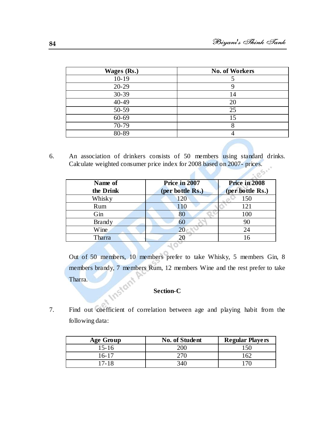| <b>Wages (Rs.)</b> | <b>No. of Workers</b> |
|--------------------|-----------------------|
| $10-19$            |                       |
| $20 - 29$          |                       |
| $30 - 39$          | 14                    |
| 40-49              | 20                    |
| 50-59              | 25                    |
| $60 - 69$          | 15                    |
| $70 - 79$          |                       |
| 80-89              |                       |

6. An association of drinkers consists of 50 members using standard drinks. Calculate weighted consumer price index for 2008 based on 2007- prices.

d

| Name of<br>the Drink | Price in 2007<br>(per bottle Rs.) | Price in 2008<br>(per bottle Rs.) |
|----------------------|-----------------------------------|-----------------------------------|
| Whisky               | 120                               | 150                               |
| Rum                  | 110                               | 121                               |
| Gin                  | 80                                | 100                               |
| <b>Brandy</b>        | 60                                | 90                                |
| Wine.                | 20                                | 24                                |
| Tharra               |                                   | 16                                |
|                      |                                   |                                   |

Out of 50 members, 10 members prefer to take Whisky, 5 members Gin, 8 members brandy, 7 members Rum, 12 members Wine and the rest prefer to take **Instant** Tharra.

#### **Section-C**

7. Find out coefficient of correlation between age and playing habit from the following data:

| <b>Age Group</b> | <b>No. of Student</b> | <b>Regular Players</b> |
|------------------|-----------------------|------------------------|
| $15 - 16$        | 200                   | 150                    |
| 16-17            |                       | 162                    |
| 17-18            | 340                   | $170-$                 |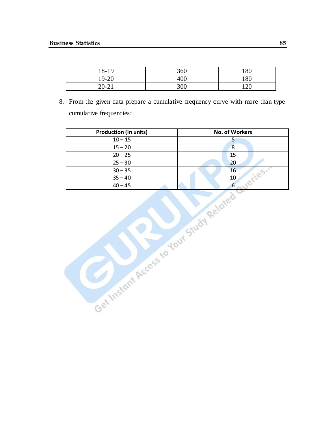| 18-19     | 360 | 180 |
|-----------|-----|-----|
| 19-20     | 400 | 180 |
| $20 - 21$ | 300 | 120 |

8. From the given data prepare a cumulative frequency curve with more than type cumulative frequencies:

| <b>Production (in units)</b> | <b>No. of Workers</b> |
|------------------------------|-----------------------|
| $10 - 15$                    |                       |
| $15 - 20$                    | 8                     |
| $20 - 25$                    | 15                    |
| $25 - 30$                    | 20                    |
| $30 - 35$                    | 16                    |
| $35 - 40$                    | 10                    |
| $40 - 45$                    | O                     |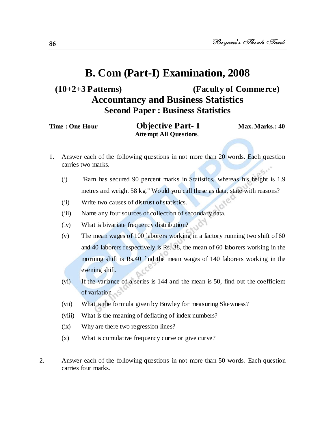# **(10+2+3 Patterns) (Faculty of Commerce) Accountancy and Business Statistics Second Paper : Business Statistics**

| Time : One Hour | <b>Objective Part-I</b>       | Max. Marks.: 40 |
|-----------------|-------------------------------|-----------------|
|                 | <b>Attempt All Questions.</b> |                 |

- 1. Answer each of the following questions in not more than 20 words. Each question carries two marks.
	- (i) "Ram has secured 90 percent marks in Statistics, whereas his height is 1.9 metres and weight 58 kg." Would you call these as data, state with reasons?
	- (ii) Write two causes of distrust of statistics.
	- (iii) Name any four sources of collection of secondary data.
	- (iv) What is bivariate frequency distribution?
	- (v) The mean wages of 100 laborers working in a factory running two shift of 60 and 40 laborers respectively is Rs. 38, the mean of 60 laborers working in the morning shift is Rs.40 find the mean wages of 140 laborers working in the evening shift.
	- (vi) If the variance of a series is 144 and the mean is 50, find out the coefficient of variation.
	- (vii) What is the formula given by Bowley for measuring Skewness?
	- (viii) What is the meaning of deflating of index numbers?
	- (ix) Why are there two regression lines?
	- (x) What is cumulative frequency curve or give curve?
- 2. Answer each of the following questions in not more than 50 words. Each question carries four marks.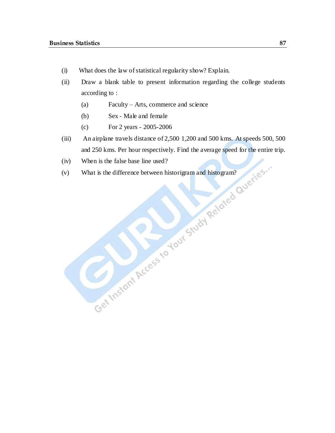- (i) What does the law of statistical regularity show? Explain.
- (ii) Draw a blank table to present information regarding the college students according to :
	- (a) Faculty Arts, commerce and science
	- (b) Sex Male and female
	- (c) For 2 years 2005-2006
- (iii) An airplane travels distance of 2,500 1,200 and 500 kms. At speeds 500, 500 and 250 kms. Per hour respectively. Find the average speed for the entire trip.
- (iv) When is the false base line used?
- (v) What is the difference between historigram and histogram?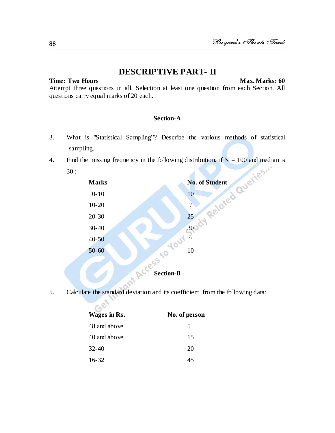### **DESCRIPTIVE PART- II**

**Time: Two Hours** Max. Marks: 60

Attempt three questions in all, Selection at least one question from each Section. All questions carry equal marks of 20 each.

### **Section-A**

- 3. What is "Statistical Sampling"? Describe the various methods of statistical sampling.
- 4. Find the missing frequency in the following distribution. if  $N = 100$  and median is 30 :



5. Calculate the standard deviation and its coefficient from the following data:

| Wages in Rs. | No. of person |
|--------------|---------------|
| 48 and above | 5             |
| 40 and above | 15            |
| $32 - 40$    | 20            |
| $16 - 32$    | 45            |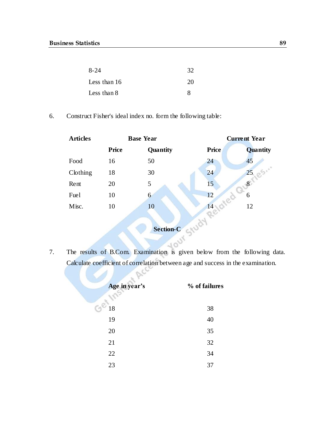| $8 - 24$     | 32 |
|--------------|----|
| Less than 16 | 20 |
| Less than 8  | 8  |

6. Construct Fisher's ideal index no. form the following table:

| <b>Articles</b> | <b>Base Year</b> |                  | <b>Current Year</b> |          |
|-----------------|------------------|------------------|---------------------|----------|
|                 | <b>Price</b>     | Quantity         | <b>Price</b>        | Quantity |
| Food            | 16               | 50               | 24                  | 45       |
| Clothing        | 18               | 30               | 24                  | 25, es   |
| Rent            | 20               | 5                | 15                  |          |
| Fuel            | 10               | 6                | 12                  | 6        |
| Misc.           | 10               | 10               | 14                  | 12       |
|                 |                  |                  |                     |          |
|                 |                  | <b>Section-C</b> | $\sqrt{6}$          |          |

7. The results of B.Com. Examination is given below from the following data. Calculate coefficient of correlation between age and success in the examination.

| Age in year's | % of failures |
|---------------|---------------|
| 18            | 38            |
| 19            | 40            |
| 20            | 35            |
| 21            | 32            |
| 22            | 34            |
| 23            | 37            |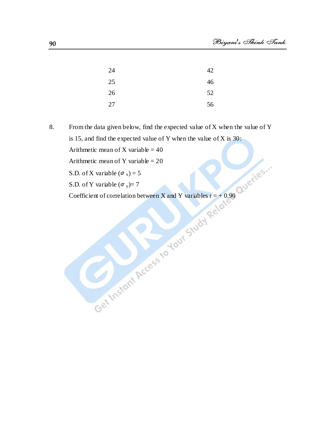| 24 | 42 |
|----|----|
| 25 | 46 |
| 26 | 52 |
| 27 | 56 |

8. From the data given below, find the expected value of X when the value of Y is 15, and find the expected value of Y when the value of X is 30: Arithmetic mean of X variable  $= 40$ Arithmetic mean of Y variable  $= 20$ 

S.D. of X variable ( $\sigma_x$ ) = 5

S.D. of Y variable  $(\sigma_y) = 7$ 

Coefficient of correlation between X and Y variables  $r = +0.90$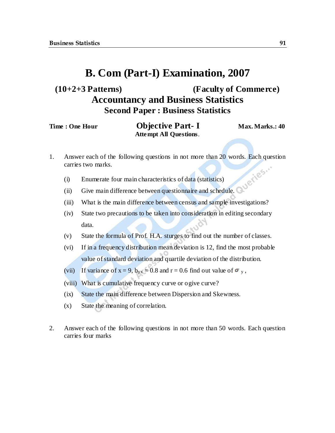## **(10+2+3 Patterns) (Faculty of Commerce) Accountancy and Business Statistics Second Paper : Business Statistics**

| Time : One Hour | <b>Objective Part-1</b>       | Max. Marks.: 40 |
|-----------------|-------------------------------|-----------------|
|                 | <b>Attempt All Questions.</b> |                 |

- 1. Answer each of the following questions in not more than 20 words. Each question carries two marks.
	- (i) Enumerate four main characteristics of data (statistics)
	- (ii) Give main difference between questionnaire and schedule.
	- (iii) What is the main difference between census and sample investigations?
	- (iv) State two precautions to be taken into consideration in editing secondary data.
	- (v) State the formula of Prof. H.A. sturges to find out the number of classes.
	- (vi) If in a frequency distribution mean deviation is 12, find the most probable value of standard deviation and quartile deviation of the distribution.
	- (vii) If variance of  $x = 9$ ,  $b_{yx} = 0.8$  and  $r = 0.6$  find out value of  $\sigma_y$ ,
	- (viii) What is cumulative frequency curve or ogive curve?
	- (ix) State the main difference between Dispersion and Skewness.
	- (x) State the meaning of correlation.
- 2. Answer each of the following questions in not more than 50 words. Each question carries four marks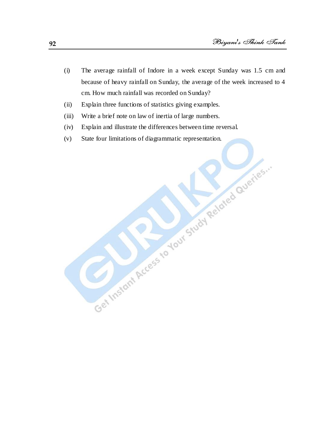(i) The average rainfall of Indore in a week except Sunday was 1.5 cm and because of heavy rainfall on Sunday, the average of the week increased to 4 cm. How much rainfall was recorded on Sunday?

Get Instant Access to Your Study Related Queries."

- (ii) Explain three functions of statistics giving examples.
- (iii) Write a brief note on law of inertia of large numbers.
- (iv) Explain and illustrate the differences between time reversal.
- (v) State four limitations of diagrammatic representation.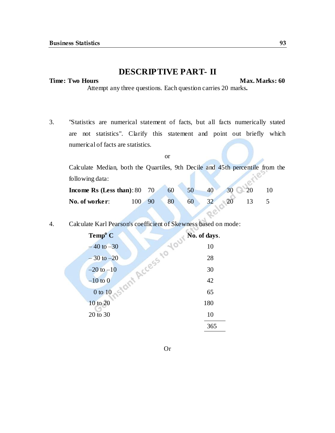### **DESCRIPTIVE PART- II**

#### **Time: Two Hours Max. Marks: 60**

Attempt any three questions. Each question carries 20 marks**.**

3. "Statistics are numerical statement of facts, but all facts numerically stated are not statistics". Clarify this statement and point out briefly which numerical of facts are statistics.

|                                                                               | or |    |    |    |    |    |  |
|-------------------------------------------------------------------------------|----|----|----|----|----|----|--|
| Calculate Median, both the Quartiles, 9th Decile and 45th percentile from the |    |    |    |    |    |    |  |
| following data:                                                               |    |    |    |    |    |    |  |
| Income Rs (Less than): $80$ 70                                                |    | 60 | 50 | 40 | 30 | 20 |  |
| No. of worker:<br>100                                                         |    | 80 | 60 |    |    |    |  |

Re

4. Calculate Karl Pearson's coefficient of Skewness based on mode:

| Temp <sup>o</sup> C       | Your No. of days. |
|---------------------------|-------------------|
| $-40$ to $-30$            | 10                |
| $-30$ to $-20$            | 28                |
| Access,<br>$-20$ to $-10$ | 30                |
| $-10$ to $0$              | 42                |
| $-30$<br>0 to 10          | 65                |
| 10 to 20                  | 180               |
| 20 to 30                  | 10                |
|                           | 365               |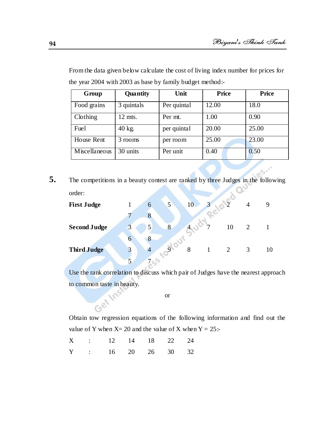| Group         | Quantity   | Unit        | <b>Price</b> | Price |
|---------------|------------|-------------|--------------|-------|
| Food grains   | 3 quintals | Per quintal | 12.00        | 18.0  |
| Clothing      | $12$ mts.  | Per mt.     | 1.00         | 0.90  |
| Fuel          | $40$ kg.   | per quintal | 20.00        | 25.00 |
| House Rent    | 3 rooms    | per room    | 25.00        | 23.00 |
| Miscellaneous | 30 units   | Per unit    | 0.40         | 0.50  |

From the data given below calculate the cost of living index number for prices for the year 2004 with 2003 as base by family budget method:-

**5.** The competitions in a beauty contest are ranked by three Judges in the following order:

| <b>First Judge</b>  |   |                | $5\overline{)}$ | 10 | 3 |    |   |    |
|---------------------|---|----------------|-----------------|----|---|----|---|----|
|                     |   |                |                 |    |   |    |   |    |
| <b>Second Judge</b> | 3 | 5              | 8               |    |   | 10 | 2 |    |
|                     | 6 | 8              |                 |    |   |    |   |    |
| <b>Third Judge</b>  |   | $\overline{4}$ |                 | 8  |   |    | 3 | 10 |
|                     |   |                |                 |    |   |    |   |    |

Use the rank correlation to discuss which pair of Judges have the nearest approach to common taste in beauty.

or

Obtain tow regression equations of the following information and find out the value of Y when  $X = 20$  and the value of X when  $Y = 25$ :-

|  | X : 12 14 18 22 24 |  |  |
|--|--------------------|--|--|
|  | Y : 16 20 26 30 32 |  |  |

**INS**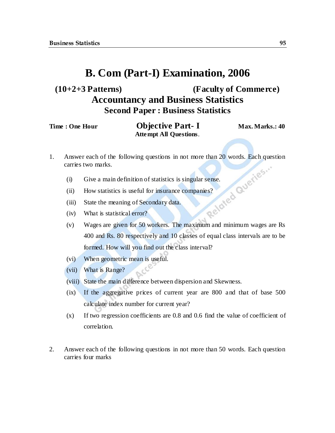## **(10+2+3 Patterns) (Faculty of Commerce) Accountancy and Business Statistics Second Paper : Business Statistics**

| Time : One Hour | <b>Objective Part-I</b>       | Max. Marks.: 40 |
|-----------------|-------------------------------|-----------------|
|                 | <b>Attempt All Questions.</b> |                 |

- 1. Answer each of the following questions in not more than 20 words. Each question carries two marks.<br>
(i) Give a main definition of statistics is singular sense.<br>
(ii) How statistics is useful for insurance companically<br> carries two marks.
	- (i) Give a main definition of statistics is singular sense.
	- (ii) How statistics is useful for insurance companies?
	- (iii) State the meaning of Secondary data.
	- (iv) What is statistical error?
	- (v) Wages are given for 50 workers. The maximum and minimum wages are Rs 400 and Rs. 80 respectively and 10 classes of equal class intervals are to be formed. How will you find out the class interval?
	- (vi) When geometric mean is useful.
	- (vii) What is Range?
	- (viii) State the main difference between dispersion and Skewness.
	- (ix) If the aggregative prices of current year are 800 and that of base 500 calculate index number for current year?
	- (x) If two regression coefficients are 0.8 and 0.6 find the value of coefficient of correlation.
- 2. Answer each of the following questions in not more than 50 words. Each question carries four marks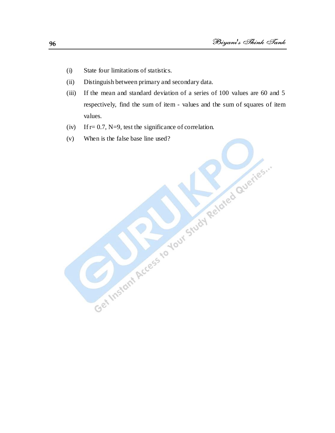- (i) State four limitations of statistics.
- (ii) Distinguish between primary and secondary data.
- (iii) If the mean and standard deviation of a series of 100 values are 60 and 5 respectively, find the sum of item - values and the sum of squares of item values.
- (iv) If  $r= 0.7$ , N=9, test the significance of correlation.
- (v) When is the false base line used?<br>
When is the false base line used?<br>
When is the false base line used?<br>
When is the false base line used?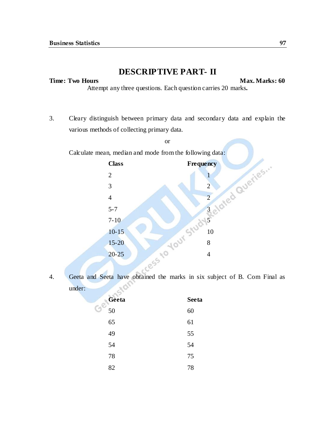### **DESCRIPTIVE PART- II**

#### **Time: Two Hours Max. Marks: 60**

Attempt any three questions. Each question carries 20 marks**.**

3. Cleary distinguish between primary data and secondary data and explain the various methods of collecting primary data.

or

Calculate mean, median and mode from the following data:



4. Geeta and Seeta have obtained the marks in six subject of B. Com Final as 50 under:

| Geeta | <b>Seeta</b> |
|-------|--------------|
| 50    | 60           |
| 65    | 61           |
| 49    | 55           |
| 54    | 54           |
| 78    | 75           |
| 82    | 78           |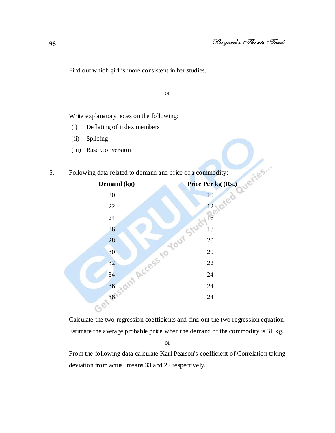Find out which girl is more consistent in her studies.

or

Write explanatory notes on the following:

- (i) Deflating of index members
- (ii) Splicing
- (iii) Base Conversion

#### 5. Following data related to demand and price of a commodity:



Calculate the two regression coefficients and find out the two regression equation. Estimate the average probable price when the demand of the commodity is 31 kg.

or

From the following data calculate Karl Pearson's coefficient of Correlation taking deviation from actual means 33 and 22 respectively.